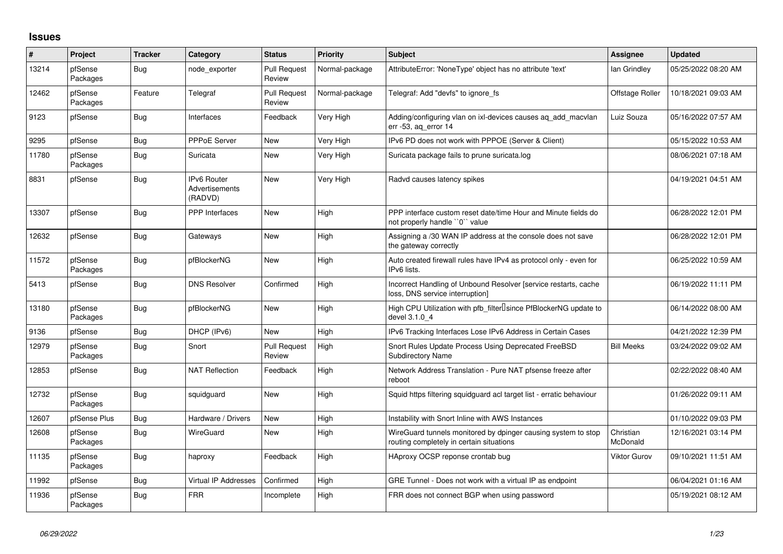## **Issues**

| $\#$  | Project             | <b>Tracker</b> | Category                                        | <b>Status</b>                 | <b>Priority</b> | <b>Subject</b>                                                                                            | <b>Assignee</b>       | <b>Updated</b>      |
|-------|---------------------|----------------|-------------------------------------------------|-------------------------------|-----------------|-----------------------------------------------------------------------------------------------------------|-----------------------|---------------------|
| 13214 | pfSense<br>Packages | Bug            | node exporter                                   | <b>Pull Request</b><br>Review | Normal-package  | AttributeError: 'NoneType' object has no attribute 'text'                                                 | lan Grindley          | 05/25/2022 08:20 AM |
| 12462 | pfSense<br>Packages | Feature        | Telegraf                                        | <b>Pull Request</b><br>Review | Normal-package  | Telegraf: Add "devfs" to ignore fs                                                                        | Offstage Roller       | 10/18/2021 09:03 AM |
| 9123  | pfSense             | <b>Bug</b>     | Interfaces                                      | Feedback                      | Very High       | Adding/configuring vlan on ixl-devices causes ag add macvlan<br>err -53, ag error 14                      | Luiz Souza            | 05/16/2022 07:57 AM |
| 9295  | pfSense             | <b>Bug</b>     | PPPoE Server                                    | <b>New</b>                    | Very High       | IPv6 PD does not work with PPPOE (Server & Client)                                                        |                       | 05/15/2022 10:53 AM |
| 11780 | pfSense<br>Packages | Bug            | Suricata                                        | <b>New</b>                    | Very High       | Suricata package fails to prune suricata.log                                                              |                       | 08/06/2021 07:18 AM |
| 8831  | pfSense             | <b>Bug</b>     | <b>IPv6 Router</b><br>Advertisements<br>(RADVD) | <b>New</b>                    | Very High       | Radvd causes latency spikes                                                                               |                       | 04/19/2021 04:51 AM |
| 13307 | pfSense             | Bug            | <b>PPP</b> Interfaces                           | <b>New</b>                    | High            | PPP interface custom reset date/time Hour and Minute fields do<br>not properly handle "0" value           |                       | 06/28/2022 12:01 PM |
| 12632 | pfSense             | Bug            | Gateways                                        | <b>New</b>                    | High            | Assigning a /30 WAN IP address at the console does not save<br>the gateway correctly                      |                       | 06/28/2022 12:01 PM |
| 11572 | pfSense<br>Packages | Bug            | pfBlockerNG                                     | <b>New</b>                    | High            | Auto created firewall rules have IPv4 as protocol only - even for<br>IPv6 lists.                          |                       | 06/25/2022 10:59 AM |
| 5413  | pfSense             | Bug            | <b>DNS Resolver</b>                             | Confirmed                     | High            | Incorrect Handling of Unbound Resolver [service restarts, cache<br>loss, DNS service interruption]        |                       | 06/19/2022 11:11 PM |
| 13180 | pfSense<br>Packages | Bug            | pfBlockerNG                                     | <b>New</b>                    | High            | High CPU Utilization with pfb filter Isince PfBlockerNG update to<br>devel 3.1.0 4                        |                       | 06/14/2022 08:00 AM |
| 9136  | pfSense             | Bug            | DHCP (IPv6)                                     | <b>New</b>                    | High            | IPv6 Tracking Interfaces Lose IPv6 Address in Certain Cases                                               |                       | 04/21/2022 12:39 PM |
| 12979 | pfSense<br>Packages | Bug            | Snort                                           | <b>Pull Request</b><br>Review | High            | Snort Rules Update Process Using Deprecated FreeBSD<br><b>Subdirectory Name</b>                           | <b>Bill Meeks</b>     | 03/24/2022 09:02 AM |
| 12853 | pfSense             | Bug            | <b>NAT Reflection</b>                           | Feedback                      | High            | Network Address Translation - Pure NAT pfsense freeze after<br>reboot                                     |                       | 02/22/2022 08:40 AM |
| 12732 | pfSense<br>Packages | Bug            | squidguard                                      | <b>New</b>                    | High            | Squid https filtering squidguard acl target list - erratic behaviour                                      |                       | 01/26/2022 09:11 AM |
| 12607 | pfSense Plus        | <b>Bug</b>     | Hardware / Drivers                              | <b>New</b>                    | High            | Instability with Snort Inline with AWS Instances                                                          |                       | 01/10/2022 09:03 PM |
| 12608 | pfSense<br>Packages | Bug            | WireGuard                                       | <b>New</b>                    | High            | WireGuard tunnels monitored by dpinger causing system to stop<br>routing completely in certain situations | Christian<br>McDonald | 12/16/2021 03:14 PM |
| 11135 | pfSense<br>Packages | <b>Bug</b>     | haproxy                                         | Feedback                      | High            | HAproxy OCSP reponse crontab bug                                                                          | Viktor Gurov          | 09/10/2021 11:51 AM |
| 11992 | pfSense             | Bug            | <b>Virtual IP Addresses</b>                     | Confirmed                     | High            | GRE Tunnel - Does not work with a virtual IP as endpoint                                                  |                       | 06/04/2021 01:16 AM |
| 11936 | pfSense<br>Packages | <b>Bug</b>     | <b>FRR</b>                                      | Incomplete                    | High            | FRR does not connect BGP when using password                                                              |                       | 05/19/2021 08:12 AM |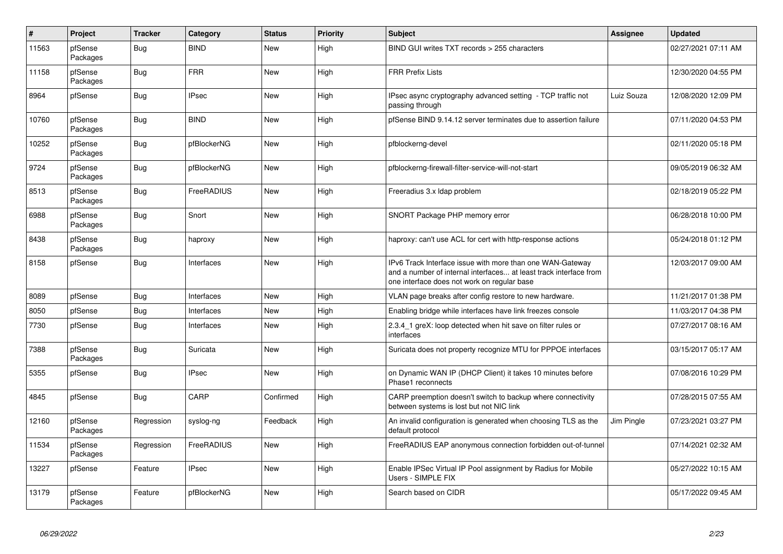| $\vert$ # | Project             | <b>Tracker</b> | Category     | <b>Status</b> | Priority | <b>Subject</b>                                                                                                                                                                | <b>Assignee</b> | <b>Updated</b>      |
|-----------|---------------------|----------------|--------------|---------------|----------|-------------------------------------------------------------------------------------------------------------------------------------------------------------------------------|-----------------|---------------------|
| 11563     | pfSense<br>Packages | Bug            | <b>BIND</b>  | <b>New</b>    | High     | BIND GUI writes TXT records > 255 characters                                                                                                                                  |                 | 02/27/2021 07:11 AM |
| 11158     | pfSense<br>Packages | Bug            | <b>FRR</b>   | <b>New</b>    | High     | <b>FRR Prefix Lists</b>                                                                                                                                                       |                 | 12/30/2020 04:55 PM |
| 8964      | pfSense             | <b>Bug</b>     | <b>IPsec</b> | <b>New</b>    | High     | IPsec async cryptography advanced setting - TCP traffic not<br>passing through                                                                                                | Luiz Souza      | 12/08/2020 12:09 PM |
| 10760     | pfSense<br>Packages | Bug            | <b>BIND</b>  | <b>New</b>    | High     | pfSense BIND 9.14.12 server terminates due to assertion failure                                                                                                               |                 | 07/11/2020 04:53 PM |
| 10252     | pfSense<br>Packages | Bug            | pfBlockerNG  | <b>New</b>    | High     | pfblockerng-devel                                                                                                                                                             |                 | 02/11/2020 05:18 PM |
| 9724      | pfSense<br>Packages | <b>Bug</b>     | pfBlockerNG  | <b>New</b>    | High     | pfblockerng-firewall-filter-service-will-not-start                                                                                                                            |                 | 09/05/2019 06:32 AM |
| 8513      | pfSense<br>Packages | Bug            | FreeRADIUS   | <b>New</b>    | High     | Freeradius 3.x Idap problem                                                                                                                                                   |                 | 02/18/2019 05:22 PM |
| 6988      | pfSense<br>Packages | <b>Bug</b>     | Snort        | <b>New</b>    | High     | SNORT Package PHP memory error                                                                                                                                                |                 | 06/28/2018 10:00 PM |
| 8438      | pfSense<br>Packages | Bug            | haproxy      | <b>New</b>    | High     | haproxy: can't use ACL for cert with http-response actions                                                                                                                    |                 | 05/24/2018 01:12 PM |
| 8158      | pfSense             | <b>Bug</b>     | Interfaces   | <b>New</b>    | High     | IPv6 Track Interface issue with more than one WAN-Gateway<br>and a number of internal interfaces at least track interface from<br>one interface does not work on regular base |                 | 12/03/2017 09:00 AM |
| 8089      | pfSense             | Bug            | Interfaces   | <b>New</b>    | High     | VLAN page breaks after config restore to new hardware.                                                                                                                        |                 | 11/21/2017 01:38 PM |
| 8050      | pfSense             | Bug            | Interfaces   | New           | High     | Enabling bridge while interfaces have link freezes console                                                                                                                    |                 | 11/03/2017 04:38 PM |
| 7730      | pfSense             | <b>Bug</b>     | Interfaces   | <b>New</b>    | High     | 2.3.4 1 greX: loop detected when hit save on filter rules or<br>interfaces                                                                                                    |                 | 07/27/2017 08:16 AM |
| 7388      | pfSense<br>Packages | <b>Bug</b>     | Suricata     | <b>New</b>    | High     | Suricata does not property recognize MTU for PPPOE interfaces                                                                                                                 |                 | 03/15/2017 05:17 AM |
| 5355      | pfSense             | <b>Bug</b>     | <b>IPsec</b> | <b>New</b>    | High     | on Dynamic WAN IP (DHCP Client) it takes 10 minutes before<br>Phase1 reconnects                                                                                               |                 | 07/08/2016 10:29 PM |
| 4845      | pfSense             | Bug            | CARP         | Confirmed     | High     | CARP preemption doesn't switch to backup where connectivity<br>between systems is lost but not NIC link                                                                       |                 | 07/28/2015 07:55 AM |
| 12160     | pfSense<br>Packages | Regression     | syslog-ng    | Feedback      | High     | An invalid configuration is generated when choosing TLS as the<br>default protocol                                                                                            | Jim Pingle      | 07/23/2021 03:27 PM |
| 11534     | pfSense<br>Packages | Regression     | FreeRADIUS   | <b>New</b>    | High     | FreeRADIUS EAP anonymous connection forbidden out-of-tunnel                                                                                                                   |                 | 07/14/2021 02:32 AM |
| 13227     | pfSense             | Feature        | <b>IPsec</b> | New           | High     | Enable IPSec Virtual IP Pool assignment by Radius for Mobile<br>Users - SIMPLE FIX                                                                                            |                 | 05/27/2022 10:15 AM |
| 13179     | pfSense<br>Packages | Feature        | pfBlockerNG  | New           | High     | Search based on CIDR                                                                                                                                                          |                 | 05/17/2022 09:45 AM |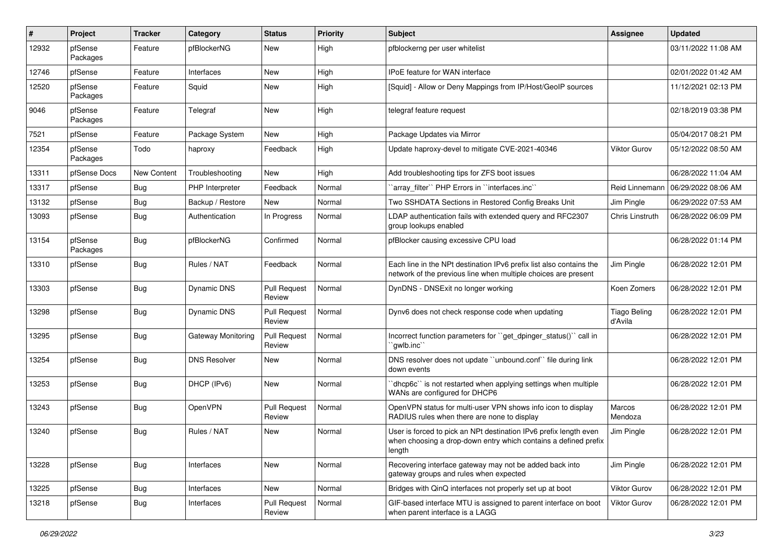| #     | Project             | <b>Tracker</b> | Category            | <b>Status</b>                 | Priority | Subject                                                                                                                                        | <b>Assignee</b>                | <b>Updated</b>      |
|-------|---------------------|----------------|---------------------|-------------------------------|----------|------------------------------------------------------------------------------------------------------------------------------------------------|--------------------------------|---------------------|
| 12932 | pfSense<br>Packages | Feature        | pfBlockerNG         | New                           | High     | pfblockerng per user whitelist                                                                                                                 |                                | 03/11/2022 11:08 AM |
| 12746 | pfSense             | Feature        | Interfaces          | New                           | High     | IPoE feature for WAN interface                                                                                                                 |                                | 02/01/2022 01:42 AM |
| 12520 | pfSense<br>Packages | Feature        | Squid               | New                           | High     | [Squid] - Allow or Deny Mappings from IP/Host/GeoIP sources                                                                                    |                                | 11/12/2021 02:13 PM |
| 9046  | pfSense<br>Packages | Feature        | Telegraf            | New                           | High     | telegraf feature request                                                                                                                       |                                | 02/18/2019 03:38 PM |
| 7521  | pfSense             | Feature        | Package System      | <b>New</b>                    | High     | Package Updates via Mirror                                                                                                                     |                                | 05/04/2017 08:21 PM |
| 12354 | pfSense<br>Packages | Todo           | haproxy             | Feedback                      | High     | Update haproxy-devel to mitigate CVE-2021-40346                                                                                                | Viktor Gurov                   | 05/12/2022 08:50 AM |
| 13311 | pfSense Docs        | New Content    | Troubleshooting     | New                           | High     | Add troubleshooting tips for ZFS boot issues                                                                                                   |                                | 06/28/2022 11:04 AM |
| 13317 | pfSense             | <b>Bug</b>     | PHP Interpreter     | Feedback                      | Normal   | 'array_filter'' PHP Errors in ''interfaces.inc''                                                                                               | Reid Linnemanr                 | 06/29/2022 08:06 AM |
| 13132 | pfSense             | <b>Bug</b>     | Backup / Restore    | <b>New</b>                    | Normal   | Two SSHDATA Sections in Restored Config Breaks Unit                                                                                            | Jim Pingle                     | 06/29/2022 07:53 AM |
| 13093 | pfSense             | Bug            | Authentication      | In Progress                   | Normal   | LDAP authentication fails with extended query and RFC2307<br>group lookups enabled                                                             | Chris Linstruth                | 06/28/2022 06:09 PM |
| 13154 | pfSense<br>Packages | <b>Bug</b>     | pfBlockerNG         | Confirmed                     | Normal   | pfBlocker causing excessive CPU load                                                                                                           |                                | 06/28/2022 01:14 PM |
| 13310 | pfSense             | <b>Bug</b>     | Rules / NAT         | Feedback                      | Normal   | Each line in the NPt destination IPv6 prefix list also contains the<br>network of the previous line when multiple choices are present          | Jim Pingle                     | 06/28/2022 12:01 PM |
| 13303 | pfSense             | Bug            | <b>Dynamic DNS</b>  | <b>Pull Request</b><br>Review | Normal   | DynDNS - DNSExit no longer working                                                                                                             | Koen Zomers                    | 06/28/2022 12:01 PM |
| 13298 | pfSense             | Bug            | <b>Dynamic DNS</b>  | <b>Pull Request</b><br>Review | Normal   | Dynv6 does not check response code when updating                                                                                               | <b>Tiago Beling</b><br>d'Avila | 06/28/2022 12:01 PM |
| 13295 | pfSense             | <b>Bug</b>     | Gateway Monitoring  | <b>Pull Request</b><br>Review | Normal   | Incorrect function parameters for "get dpinger status()" call in<br>`gwlb.inc``                                                                |                                | 06/28/2022 12:01 PM |
| 13254 | pfSense             | Bug            | <b>DNS Resolver</b> | New                           | Normal   | DNS resolver does not update "unbound.conf" file during link<br>down events                                                                    |                                | 06/28/2022 12:01 PM |
| 13253 | pfSense             | <b>Bug</b>     | DHCP (IPv6)         | <b>New</b>                    | Normal   | 'dhcp6c' is not restarted when applying settings when multiple<br>WANs are configured for DHCP6                                                |                                | 06/28/2022 12:01 PM |
| 13243 | pfSense             | <b>Bug</b>     | OpenVPN             | <b>Pull Request</b><br>Review | Normal   | OpenVPN status for multi-user VPN shows info icon to display<br>RADIUS rules when there are none to display                                    | Marcos<br>Mendoza              | 06/28/2022 12:01 PM |
| 13240 | pfSense             | <b>Bug</b>     | Rules / NAT         | New                           | Normal   | User is forced to pick an NPt destination IPv6 prefix length even<br>when choosing a drop-down entry which contains a defined prefix<br>length | Jim Pingle                     | 06/28/2022 12:01 PM |
| 13228 | pfSense             | <b>Bug</b>     | Interfaces          | New                           | Normal   | Recovering interface gateway may not be added back into<br>gateway groups and rules when expected                                              | Jim Pingle                     | 06/28/2022 12:01 PM |
| 13225 | pfSense             | <b>Bug</b>     | Interfaces          | New                           | Normal   | Bridges with QinQ interfaces not properly set up at boot                                                                                       | Viktor Gurov                   | 06/28/2022 12:01 PM |
| 13218 | pfSense             | Bug            | Interfaces          | Pull Request<br>Review        | Normal   | GIF-based interface MTU is assigned to parent interface on boot<br>when parent interface is a LAGG                                             | Viktor Gurov                   | 06/28/2022 12:01 PM |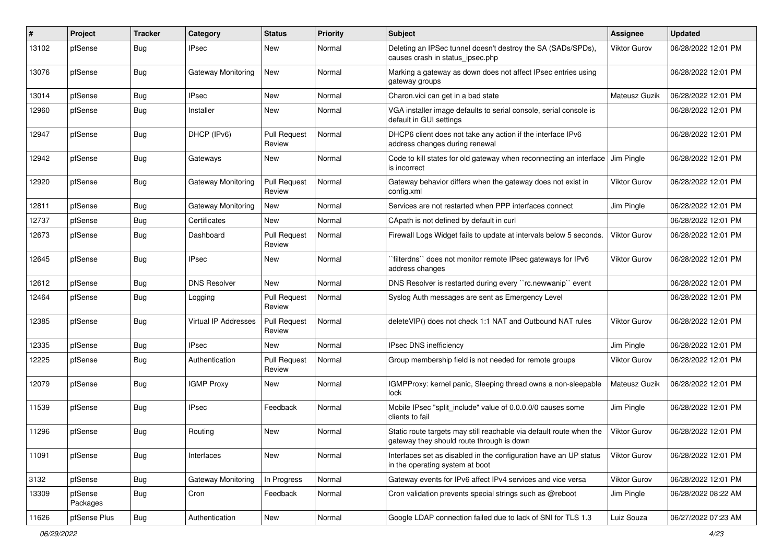| #     | Project             | <b>Tracker</b> | Category             | <b>Status</b>                 | <b>Priority</b> | <b>Subject</b>                                                                                                   | Assignee            | <b>Updated</b>      |
|-------|---------------------|----------------|----------------------|-------------------------------|-----------------|------------------------------------------------------------------------------------------------------------------|---------------------|---------------------|
| 13102 | pfSense             | Bug            | IPsec                | <b>New</b>                    | Normal          | Deleting an IPSec tunnel doesn't destroy the SA (SADs/SPDs),<br>causes crash in status ipsec.php                 | Viktor Gurov        | 06/28/2022 12:01 PM |
| 13076 | pfSense             | Bug            | Gateway Monitoring   | New                           | Normal          | Marking a gateway as down does not affect IPsec entries using<br>gateway groups                                  |                     | 06/28/2022 12:01 PM |
| 13014 | pfSense             | <b>Bug</b>     | <b>IPsec</b>         | <b>New</b>                    | Normal          | Charon.vici can get in a bad state                                                                               | Mateusz Guzik       | 06/28/2022 12:01 PM |
| 12960 | pfSense             | Bug            | Installer            | <b>New</b>                    | Normal          | VGA installer image defaults to serial console, serial console is<br>default in GUI settings                     |                     | 06/28/2022 12:01 PM |
| 12947 | pfSense             | <b>Bug</b>     | DHCP (IPv6)          | <b>Pull Request</b><br>Review | Normal          | DHCP6 client does not take any action if the interface IPv6<br>address changes during renewal                    |                     | 06/28/2022 12:01 PM |
| 12942 | pfSense             | <b>Bug</b>     | Gateways             | <b>New</b>                    | Normal          | Code to kill states for old gateway when reconnecting an interface<br>is incorrect                               | Jim Pingle          | 06/28/2022 12:01 PM |
| 12920 | pfSense             | <b>Bug</b>     | Gateway Monitoring   | <b>Pull Request</b><br>Review | Normal          | Gateway behavior differs when the gateway does not exist in<br>config.xml                                        | Viktor Gurov        | 06/28/2022 12:01 PM |
| 12811 | pfSense             | Bug            | Gateway Monitoring   | New                           | Normal          | Services are not restarted when PPP interfaces connect                                                           | Jim Pingle          | 06/28/2022 12:01 PM |
| 12737 | pfSense             | Bug            | Certificates         | <b>New</b>                    | Normal          | CApath is not defined by default in curl                                                                         |                     | 06/28/2022 12:01 PM |
| 12673 | pfSense             | <b>Bug</b>     | Dashboard            | <b>Pull Request</b><br>Review | Normal          | Firewall Logs Widget fails to update at intervals below 5 seconds.                                               | Viktor Gurov        | 06/28/2022 12:01 PM |
| 12645 | pfSense             | Bug            | <b>IPsec</b>         | <b>New</b>                    | Normal          | 'filterdns'' does not monitor remote IPsec gateways for IPv6<br>address changes                                  | Viktor Gurov        | 06/28/2022 12:01 PM |
| 12612 | pfSense             | <b>Bug</b>     | <b>DNS Resolver</b>  | <b>New</b>                    | Normal          | DNS Resolver is restarted during every "rc.newwanip" event                                                       |                     | 06/28/2022 12:01 PM |
| 12464 | pfSense             | <b>Bug</b>     | Logging              | <b>Pull Request</b><br>Review | Normal          | Syslog Auth messages are sent as Emergency Level                                                                 |                     | 06/28/2022 12:01 PM |
| 12385 | pfSense             | <b>Bug</b>     | Virtual IP Addresses | <b>Pull Request</b><br>Review | Normal          | deleteVIP() does not check 1:1 NAT and Outbound NAT rules                                                        | <b>Viktor Gurov</b> | 06/28/2022 12:01 PM |
| 12335 | pfSense             | Bug            | <b>IPsec</b>         | <b>New</b>                    | Normal          | IPsec DNS inefficiency                                                                                           | Jim Pingle          | 06/28/2022 12:01 PM |
| 12225 | pfSense             | <b>Bug</b>     | Authentication       | <b>Pull Request</b><br>Review | Normal          | Group membership field is not needed for remote groups                                                           | Viktor Gurov        | 06/28/2022 12:01 PM |
| 12079 | pfSense             | <b>Bug</b>     | <b>IGMP Proxy</b>    | <b>New</b>                    | Normal          | IGMPProxy: kernel panic, Sleeping thread owns a non-sleepable<br>lock                                            | Mateusz Guzik       | 06/28/2022 12:01 PM |
| 11539 | pfSense             | <b>Bug</b>     | <b>IPsec</b>         | Feedback                      | Normal          | Mobile IPsec "split include" value of 0.0.0.0/0 causes some<br>clients to fail                                   | Jim Pingle          | 06/28/2022 12:01 PM |
| 11296 | pfSense             | <b>Bug</b>     | Routing              | <b>New</b>                    | Normal          | Static route targets may still reachable via default route when the<br>gateway they should route through is down | Viktor Gurov        | 06/28/2022 12:01 PM |
| 11091 | pfSense             | <b>Bug</b>     | Interfaces           | New                           | Normal          | Interfaces set as disabled in the configuration have an UP status<br>in the operating system at boot             | Viktor Gurov        | 06/28/2022 12:01 PM |
| 3132  | pfSense             | Bug            | Gateway Monitoring   | In Progress                   | Normal          | Gateway events for IPv6 affect IPv4 services and vice versa                                                      | Viktor Gurov        | 06/28/2022 12:01 PM |
| 13309 | pfSense<br>Packages | <b>Bug</b>     | Cron                 | Feedback                      | Normal          | Cron validation prevents special strings such as @reboot                                                         | Jim Pingle          | 06/28/2022 08:22 AM |
| 11626 | pfSense Plus        | Bug            | Authentication       | New                           | Normal          | Google LDAP connection failed due to lack of SNI for TLS 1.3                                                     | Luiz Souza          | 06/27/2022 07:23 AM |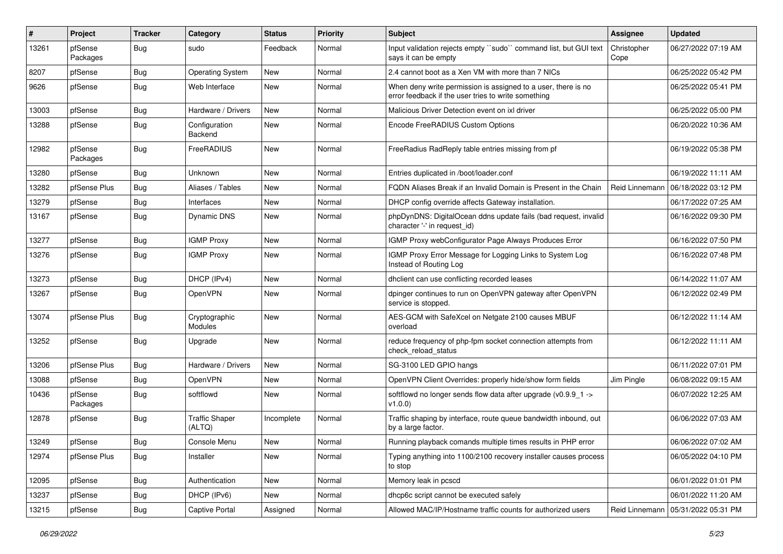| $\vert$ # | Project             | <b>Tracker</b> | Category                        | <b>Status</b> | Priority | Subject                                                                                                              | Assignee            | <b>Updated</b>      |
|-----------|---------------------|----------------|---------------------------------|---------------|----------|----------------------------------------------------------------------------------------------------------------------|---------------------|---------------------|
| 13261     | pfSense<br>Packages | Bug            | sudo                            | Feedback      | Normal   | Input validation rejects empty "sudo" command list, but GUI text<br>says it can be empty                             | Christopher<br>Cope | 06/27/2022 07:19 AM |
| 8207      | pfSense             | Bug            | <b>Operating System</b>         | New           | Normal   | 2.4 cannot boot as a Xen VM with more than 7 NICs                                                                    |                     | 06/25/2022 05:42 PM |
| 9626      | pfSense             | <b>Bug</b>     | Web Interface                   | New           | Normal   | When deny write permission is assigned to a user, there is no<br>error feedback if the user tries to write something |                     | 06/25/2022 05:41 PM |
| 13003     | pfSense             | <b>Bug</b>     | Hardware / Drivers              | <b>New</b>    | Normal   | Malicious Driver Detection event on ixl driver                                                                       |                     | 06/25/2022 05:00 PM |
| 13288     | pfSense             | Bug            | Configuration<br>Backend        | New           | Normal   | Encode FreeRADIUS Custom Options                                                                                     |                     | 06/20/2022 10:36 AM |
| 12982     | pfSense<br>Packages | Bug            | FreeRADIUS                      | <b>New</b>    | Normal   | FreeRadius RadReply table entries missing from pf                                                                    |                     | 06/19/2022 05:38 PM |
| 13280     | pfSense             | Bug            | <b>Unknown</b>                  | <b>New</b>    | Normal   | Entries duplicated in /boot/loader.conf                                                                              |                     | 06/19/2022 11:11 AM |
| 13282     | pfSense Plus        | <b>Bug</b>     | Aliases / Tables                | New           | Normal   | FQDN Aliases Break if an Invalid Domain is Present in the Chain                                                      | Reid Linnemann      | 06/18/2022 03:12 PM |
| 13279     | pfSense             | Bug            | Interfaces                      | <b>New</b>    | Normal   | DHCP config override affects Gateway installation.                                                                   |                     | 06/17/2022 07:25 AM |
| 13167     | pfSense             | Bug            | Dynamic DNS                     | New           | Normal   | phpDynDNS: DigitalOcean ddns update fails (bad request, invalid<br>character '-' in request_id)                      |                     | 06/16/2022 09:30 PM |
| 13277     | pfSense             | <b>Bug</b>     | <b>IGMP Proxy</b>               | <b>New</b>    | Normal   | IGMP Proxy webConfigurator Page Always Produces Error                                                                |                     | 06/16/2022 07:50 PM |
| 13276     | pfSense             | Bug            | <b>IGMP Proxy</b>               | New           | Normal   | IGMP Proxy Error Message for Logging Links to System Log<br>Instead of Routing Log                                   |                     | 06/16/2022 07:48 PM |
| 13273     | pfSense             | Bug            | DHCP (IPv4)                     | <b>New</b>    | Normal   | dhclient can use conflicting recorded leases                                                                         |                     | 06/14/2022 11:07 AM |
| 13267     | pfSense             | Bug            | OpenVPN                         | New           | Normal   | dpinger continues to run on OpenVPN gateway after OpenVPN<br>service is stopped.                                     |                     | 06/12/2022 02:49 PM |
| 13074     | pfSense Plus        | <b>Bug</b>     | Cryptographic<br>Modules        | <b>New</b>    | Normal   | AES-GCM with SafeXcel on Netgate 2100 causes MBUF<br>overload                                                        |                     | 06/12/2022 11:14 AM |
| 13252     | pfSense             | <b>Bug</b>     | Upgrade                         | <b>New</b>    | Normal   | reduce frequency of php-fpm socket connection attempts from<br>check reload status                                   |                     | 06/12/2022 11:11 AM |
| 13206     | pfSense Plus        | <b>Bug</b>     | Hardware / Drivers              | <b>New</b>    | Normal   | SG-3100 LED GPIO hangs                                                                                               |                     | 06/11/2022 07:01 PM |
| 13088     | pfSense             | <b>Bug</b>     | OpenVPN                         | <b>New</b>    | Normal   | OpenVPN Client Overrides: properly hide/show form fields                                                             | Jim Pingle          | 06/08/2022 09:15 AM |
| 10436     | pfSense<br>Packages | Bug            | softflowd                       | New           | Normal   | softflowd no longer sends flow data after upgrade (v0.9.9 1 -><br>V1.0.0)                                            |                     | 06/07/2022 12:25 AM |
| 12878     | pfSense             | Bug            | <b>Traffic Shaper</b><br>(ALTQ) | Incomplete    | Normal   | Traffic shaping by interface, route queue bandwidth inbound, out<br>by a large factor.                               |                     | 06/06/2022 07:03 AM |
| 13249     | pfSense             | Bug            | Console Menu                    | New           | Normal   | Running playback comands multiple times results in PHP error                                                         |                     | 06/06/2022 07:02 AM |
| 12974     | pfSense Plus        | Bug            | Installer                       | New           | Normal   | Typing anything into 1100/2100 recovery installer causes process<br>to stop                                          |                     | 06/05/2022 04:10 PM |
| 12095     | pfSense             | Bug            | Authentication                  | New           | Normal   | Memory leak in pcscd                                                                                                 |                     | 06/01/2022 01:01 PM |
| 13237     | pfSense             | Bug            | DHCP (IPv6)                     | New           | Normal   | dhcp6c script cannot be executed safely                                                                              |                     | 06/01/2022 11:20 AM |
| 13215     | pfSense             | <b>Bug</b>     | Captive Portal                  | Assigned      | Normal   | Allowed MAC/IP/Hostname traffic counts for authorized users                                                          | Reid Linnemann      | 05/31/2022 05:31 PM |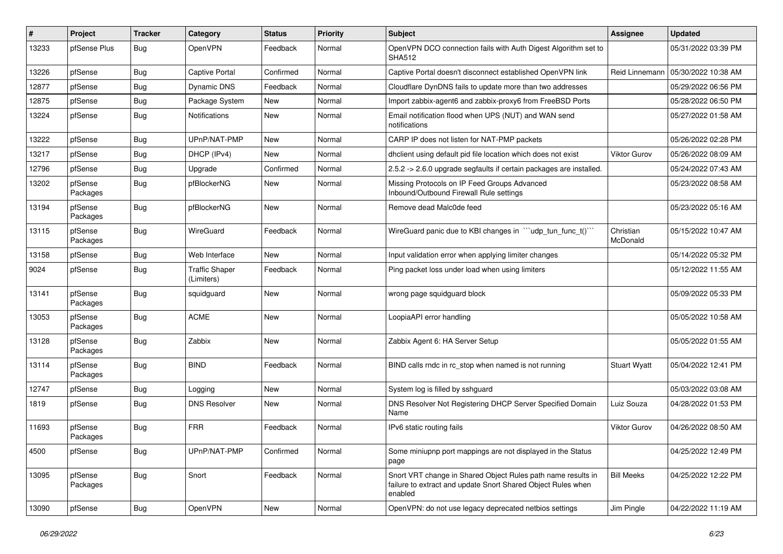| ∦     | Project             | Tracker    | Category                            | <b>Status</b> | <b>Priority</b> | <b>Subject</b>                                                                                                                          | Assignee              | <b>Updated</b>      |
|-------|---------------------|------------|-------------------------------------|---------------|-----------------|-----------------------------------------------------------------------------------------------------------------------------------------|-----------------------|---------------------|
| 13233 | pfSense Plus        | Bug        | OpenVPN                             | Feedback      | Normal          | OpenVPN DCO connection fails with Auth Digest Algorithm set to<br><b>SHA512</b>                                                         |                       | 05/31/2022 03:39 PM |
| 13226 | pfSense             | Bug        | <b>Captive Portal</b>               | Confirmed     | Normal          | Captive Portal doesn't disconnect established OpenVPN link                                                                              | Reid Linnemann        | 05/30/2022 10:38 AM |
| 12877 | pfSense             | <b>Bug</b> | Dynamic DNS                         | Feedback      | Normal          | Cloudflare DynDNS fails to update more than two addresses                                                                               |                       | 05/29/2022 06:56 PM |
| 12875 | pfSense             | <b>Bug</b> | Package System                      | <b>New</b>    | Normal          | Import zabbix-agent6 and zabbix-proxy6 from FreeBSD Ports                                                                               |                       | 05/28/2022 06:50 PM |
| 13224 | pfSense             | Bug        | <b>Notifications</b>                | New           | Normal          | Email notification flood when UPS (NUT) and WAN send<br>notifications                                                                   |                       | 05/27/2022 01:58 AM |
| 13222 | pfSense             | Bug        | UPnP/NAT-PMP                        | <b>New</b>    | Normal          | CARP IP does not listen for NAT-PMP packets                                                                                             |                       | 05/26/2022 02:28 PM |
| 13217 | pfSense             | Bug        | DHCP (IPv4)                         | New           | Normal          | dholient using default pid file location which does not exist                                                                           | Viktor Gurov          | 05/26/2022 08:09 AM |
| 12796 | pfSense             | <b>Bug</b> | Upgrade                             | Confirmed     | Normal          | 2.5.2 -> 2.6.0 upgrade segfaults if certain packages are installed.                                                                     |                       | 05/24/2022 07:43 AM |
| 13202 | pfSense<br>Packages | Bug        | pfBlockerNG                         | New           | Normal          | Missing Protocols on IP Feed Groups Advanced<br>Inbound/Outbound Firewall Rule settings                                                 |                       | 05/23/2022 08:58 AM |
| 13194 | pfSense<br>Packages | <b>Bug</b> | pfBlockerNG                         | New           | Normal          | Remove dead Malc0de feed                                                                                                                |                       | 05/23/2022 05:16 AM |
| 13115 | pfSense<br>Packages | Bug        | WireGuard                           | Feedback      | Normal          | WireGuard panic due to KBI changes in ""udp_tun_func_t()"                                                                               | Christian<br>McDonald | 05/15/2022 10:47 AM |
| 13158 | pfSense             | <b>Bug</b> | Web Interface                       | New           | Normal          | Input validation error when applying limiter changes                                                                                    |                       | 05/14/2022 05:32 PM |
| 9024  | pfSense             | <b>Bug</b> | <b>Traffic Shaper</b><br>(Limiters) | Feedback      | Normal          | Ping packet loss under load when using limiters                                                                                         |                       | 05/12/2022 11:55 AM |
| 13141 | pfSense<br>Packages | Bug        | squidguard                          | <b>New</b>    | Normal          | wrong page squidguard block                                                                                                             |                       | 05/09/2022 05:33 PM |
| 13053 | pfSense<br>Packages | Bug        | <b>ACME</b>                         | <b>New</b>    | Normal          | LoopiaAPI error handling                                                                                                                |                       | 05/05/2022 10:58 AM |
| 13128 | pfSense<br>Packages | <b>Bug</b> | Zabbix                              | <b>New</b>    | Normal          | Zabbix Agent 6: HA Server Setup                                                                                                         |                       | 05/05/2022 01:55 AM |
| 13114 | pfSense<br>Packages | Bug        | <b>BIND</b>                         | Feedback      | Normal          | BIND calls rndc in rc_stop when named is not running                                                                                    | <b>Stuart Wyatt</b>   | 05/04/2022 12:41 PM |
| 12747 | pfSense             | <b>Bug</b> | Logging                             | New           | Normal          | System log is filled by sshquard                                                                                                        |                       | 05/03/2022 03:08 AM |
| 1819  | pfSense             | Bug        | <b>DNS Resolver</b>                 | New           | Normal          | DNS Resolver Not Registering DHCP Server Specified Domain<br>Name                                                                       | Luiz Souza            | 04/28/2022 01:53 PM |
| 11693 | pfSense<br>Packages | Bug        | <b>FRR</b>                          | Feedback      | Normal          | IPv6 static routing fails                                                                                                               | <b>Viktor Gurov</b>   | 04/26/2022 08:50 AM |
| 4500  | pfSense             | <b>Bug</b> | UPnP/NAT-PMP                        | Confirmed     | Normal          | Some miniupnp port mappings are not displayed in the Status<br>page                                                                     |                       | 04/25/2022 12:49 PM |
| 13095 | pfSense<br>Packages | Bug        | Snort                               | Feedback      | Normal          | Snort VRT change in Shared Object Rules path name results in<br>failure to extract and update Snort Shared Object Rules when<br>enabled | <b>Bill Meeks</b>     | 04/25/2022 12:22 PM |
| 13090 | pfSense             | <b>Bug</b> | OpenVPN                             | New           | Normal          | OpenVPN: do not use legacy deprecated netbios settings                                                                                  | Jim Pingle            | 04/22/2022 11:19 AM |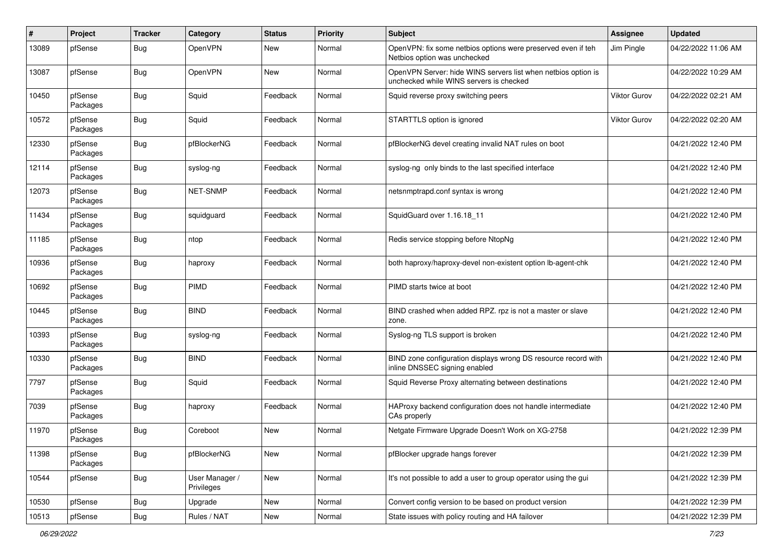| #     | Project             | <b>Tracker</b> | Category                     | <b>Status</b> | <b>Priority</b> | Subject                                                                                                  | <b>Assignee</b>     | <b>Updated</b>      |
|-------|---------------------|----------------|------------------------------|---------------|-----------------|----------------------------------------------------------------------------------------------------------|---------------------|---------------------|
| 13089 | pfSense             | Bug            | OpenVPN                      | New           | Normal          | OpenVPN: fix some netbios options were preserved even if teh<br>Netbios option was unchecked             | Jim Pingle          | 04/22/2022 11:06 AM |
| 13087 | pfSense             | <b>Bug</b>     | OpenVPN                      | <b>New</b>    | Normal          | OpenVPN Server: hide WINS servers list when netbios option is<br>unchecked while WINS servers is checked |                     | 04/22/2022 10:29 AM |
| 10450 | pfSense<br>Packages | <b>Bug</b>     | Squid                        | Feedback      | Normal          | Squid reverse proxy switching peers                                                                      | <b>Viktor Gurov</b> | 04/22/2022 02:21 AM |
| 10572 | pfSense<br>Packages | <b>Bug</b>     | Squid                        | Feedback      | Normal          | STARTTLS option is ignored                                                                               | <b>Viktor Gurov</b> | 04/22/2022 02:20 AM |
| 12330 | pfSense<br>Packages | <b>Bug</b>     | pfBlockerNG                  | Feedback      | Normal          | pfBlockerNG devel creating invalid NAT rules on boot                                                     |                     | 04/21/2022 12:40 PM |
| 12114 | pfSense<br>Packages | <b>Bug</b>     | syslog-ng                    | Feedback      | Normal          | syslog-ng only binds to the last specified interface                                                     |                     | 04/21/2022 12:40 PM |
| 12073 | pfSense<br>Packages | Bug            | NET-SNMP                     | Feedback      | Normal          | netsnmptrapd.conf syntax is wrong                                                                        |                     | 04/21/2022 12:40 PM |
| 11434 | pfSense<br>Packages | Bug            | squidguard                   | Feedback      | Normal          | SquidGuard over 1.16.18_11                                                                               |                     | 04/21/2022 12:40 PM |
| 11185 | pfSense<br>Packages | Bug            | ntop                         | Feedback      | Normal          | Redis service stopping before NtopNg                                                                     |                     | 04/21/2022 12:40 PM |
| 10936 | pfSense<br>Packages | Bug            | haproxy                      | Feedback      | Normal          | both haproxy/haproxy-devel non-existent option lb-agent-chk                                              |                     | 04/21/2022 12:40 PM |
| 10692 | pfSense<br>Packages | Bug            | PIMD                         | Feedback      | Normal          | PIMD starts twice at boot                                                                                |                     | 04/21/2022 12:40 PM |
| 10445 | pfSense<br>Packages | Bug            | <b>BIND</b>                  | Feedback      | Normal          | BIND crashed when added RPZ. rpz is not a master or slave<br>zone.                                       |                     | 04/21/2022 12:40 PM |
| 10393 | pfSense<br>Packages | Bug            | syslog-ng                    | Feedback      | Normal          | Syslog-ng TLS support is broken                                                                          |                     | 04/21/2022 12:40 PM |
| 10330 | pfSense<br>Packages | <b>Bug</b>     | <b>BIND</b>                  | Feedback      | Normal          | BIND zone configuration displays wrong DS resource record with<br>inline DNSSEC signing enabled          |                     | 04/21/2022 12:40 PM |
| 7797  | pfSense<br>Packages | <b>Bug</b>     | Squid                        | Feedback      | Normal          | Squid Reverse Proxy alternating between destinations                                                     |                     | 04/21/2022 12:40 PM |
| 7039  | pfSense<br>Packages | Bug            | haproxy                      | Feedback      | Normal          | HAProxy backend configuration does not handle intermediate<br>CAs properly                               |                     | 04/21/2022 12:40 PM |
| 11970 | pfSense<br>Packages | Bug            | Coreboot                     | <b>New</b>    | Normal          | Netgate Firmware Upgrade Doesn't Work on XG-2758                                                         |                     | 04/21/2022 12:39 PM |
| 11398 | pfSense<br>Packages | <b>Bug</b>     | pfBlockerNG                  | New           | Normal          | pfBlocker upgrade hangs forever                                                                          |                     | 04/21/2022 12:39 PM |
| 10544 | pfSense             | <b>Bug</b>     | User Manager /<br>Privileges | New           | Normal          | It's not possible to add a user to group operator using the gui                                          |                     | 04/21/2022 12:39 PM |
| 10530 | pfSense             | <b>Bug</b>     | Upgrade                      | New           | Normal          | Convert config version to be based on product version                                                    |                     | 04/21/2022 12:39 PM |
| 10513 | pfSense             | Bug            | Rules / NAT                  | New           | Normal          | State issues with policy routing and HA failover                                                         |                     | 04/21/2022 12:39 PM |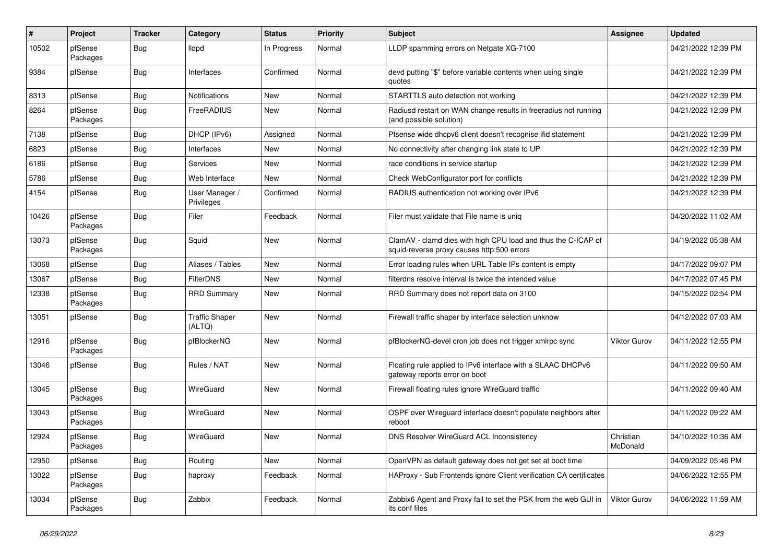| #     | Project             | <b>Tracker</b> | Category                        | <b>Status</b> | <b>Priority</b> | Subject                                                                                                     | Assignee              | <b>Updated</b>      |
|-------|---------------------|----------------|---------------------------------|---------------|-----------------|-------------------------------------------------------------------------------------------------------------|-----------------------|---------------------|
| 10502 | pfSense<br>Packages | <b>Bug</b>     | <b>Ildpd</b>                    | In Progress   | Normal          | LLDP spamming errors on Netgate XG-7100                                                                     |                       | 04/21/2022 12:39 PM |
| 9384  | pfSense             | <b>Bug</b>     | Interfaces                      | Confirmed     | Normal          | devd putting "\$" before variable contents when using single<br>quotes                                      |                       | 04/21/2022 12:39 PM |
| 8313  | pfSense             | <b>Bug</b>     | <b>Notifications</b>            | <b>New</b>    | Normal          | STARTTLS auto detection not working                                                                         |                       | 04/21/2022 12:39 PM |
| 8264  | pfSense<br>Packages | Bug            | FreeRADIUS                      | New           | Normal          | Radiusd restart on WAN change results in freeradius not running<br>(and possible solution)                  |                       | 04/21/2022 12:39 PM |
| 7138  | pfSense             | Bug            | DHCP (IPv6)                     | Assigned      | Normal          | Pfsense wide dhcpv6 client doesn't recognise ifid statement                                                 |                       | 04/21/2022 12:39 PM |
| 6823  | pfSense             | Bug            | Interfaces                      | New           | Normal          | No connectivity after changing link state to UP                                                             |                       | 04/21/2022 12:39 PM |
| 6186  | pfSense             | Bug            | Services                        | <b>New</b>    | Normal          | race conditions in service startup                                                                          |                       | 04/21/2022 12:39 PM |
| 5786  | pfSense             | Bug            | Web Interface                   | New           | Normal          | Check WebConfigurator port for conflicts                                                                    |                       | 04/21/2022 12:39 PM |
| 4154  | pfSense             | Bug            | User Manager /<br>Privileges    | Confirmed     | Normal          | RADIUS authentication not working over IPv6                                                                 |                       | 04/21/2022 12:39 PM |
| 10426 | pfSense<br>Packages | Bug            | Filer                           | Feedback      | Normal          | Filer must validate that File name is uniq                                                                  |                       | 04/20/2022 11:02 AM |
| 13073 | pfSense<br>Packages | Bug            | Squid                           | <b>New</b>    | Normal          | ClamAV - clamd dies with high CPU load and thus the C-ICAP of<br>squid-reverse proxy causes http:500 errors |                       | 04/19/2022 05:38 AM |
| 13068 | pfSense             | Bug            | Aliases / Tables                | <b>New</b>    | Normal          | Error loading rules when URL Table IPs content is empty                                                     |                       | 04/17/2022 09:07 PM |
| 13067 | pfSense             | <b>Bug</b>     | FilterDNS                       | New           | Normal          | filterdns resolve interval is twice the intended value                                                      |                       | 04/17/2022 07:45 PM |
| 12338 | pfSense<br>Packages | Bug            | <b>RRD Summary</b>              | New           | Normal          | RRD Summary does not report data on 3100                                                                    |                       | 04/15/2022 02:54 PM |
| 13051 | pfSense             | Bug            | <b>Traffic Shaper</b><br>(ALTQ) | <b>New</b>    | Normal          | Firewall traffic shaper by interface selection unknow                                                       |                       | 04/12/2022 07:03 AM |
| 12916 | pfSense<br>Packages | Bug            | pfBlockerNG                     | New           | Normal          | pfBlockerNG-devel cron job does not trigger xmlrpc sync                                                     | Viktor Gurov          | 04/11/2022 12:55 PM |
| 13046 | pfSense             | <b>Bug</b>     | Rules / NAT                     | <b>New</b>    | Normal          | Floating rule applied to IPv6 interface with a SLAAC DHCPv6<br>gateway reports error on boot                |                       | 04/11/2022 09:50 AM |
| 13045 | pfSense<br>Packages | Bug            | WireGuard                       | New           | Normal          | Firewall floating rules ignore WireGuard traffic                                                            |                       | 04/11/2022 09:40 AM |
| 13043 | pfSense<br>Packages | Bug            | WireGuard                       | New           | Normal          | OSPF over Wireguard interface doesn't populate neighbors after<br>reboot                                    |                       | 04/11/2022 09:22 AM |
| 12924 | pfSense<br>Packages | <b>Bug</b>     | WireGuard                       | <b>New</b>    | Normal          | <b>DNS Resolver WireGuard ACL Inconsistency</b>                                                             | Christian<br>McDonald | 04/10/2022 10:36 AM |
| 12950 | pfSense             | <b>Bug</b>     | Routing                         | New           | Normal          | OpenVPN as default gateway does not get set at boot time                                                    |                       | 04/09/2022 05:46 PM |
| 13022 | pfSense<br>Packages | <b>Bug</b>     | haproxy                         | Feedback      | Normal          | HAProxy - Sub Frontends ignore Client verification CA certificates                                          |                       | 04/06/2022 12:55 PM |
| 13034 | pfSense<br>Packages | <b>Bug</b>     | Zabbix                          | Feedback      | Normal          | Zabbix6 Agent and Proxy fail to set the PSK from the web GUI in<br>its conf files                           | <b>Viktor Gurov</b>   | 04/06/2022 11:59 AM |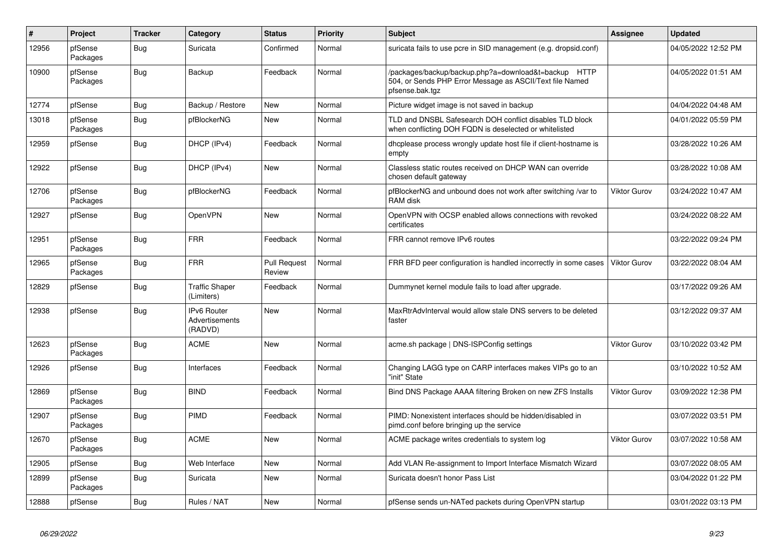| $\#$  | Project             | <b>Tracker</b> | Category                                               | <b>Status</b>                 | <b>Priority</b> | <b>Subject</b>                                                                                                                      | <b>Assignee</b>     | <b>Updated</b>      |
|-------|---------------------|----------------|--------------------------------------------------------|-------------------------------|-----------------|-------------------------------------------------------------------------------------------------------------------------------------|---------------------|---------------------|
| 12956 | pfSense<br>Packages | Bug            | Suricata                                               | Confirmed                     | Normal          | suricata fails to use pcre in SID management (e.g. dropsid.conf)                                                                    |                     | 04/05/2022 12:52 PM |
| 10900 | pfSense<br>Packages | Bug            | Backup                                                 | Feedback                      | Normal          | /packages/backup/backup.php?a=download&t=backup HTTP<br>504, or Sends PHP Error Message as ASCII/Text file Named<br>pfsense.bak.tgz |                     | 04/05/2022 01:51 AM |
| 12774 | pfSense             | <b>Bug</b>     | Backup / Restore                                       | New                           | Normal          | Picture widget image is not saved in backup                                                                                         |                     | 04/04/2022 04:48 AM |
| 13018 | pfSense<br>Packages | Bug            | pfBlockerNG                                            | <b>New</b>                    | Normal          | TLD and DNSBL Safesearch DOH conflict disables TLD block<br>when conflicting DOH FQDN is deselected or whitelisted                  |                     | 04/01/2022 05:59 PM |
| 12959 | pfSense             | <b>Bug</b>     | DHCP (IPv4)                                            | Feedback                      | Normal          | dhcplease process wrongly update host file if client-hostname is<br>empty                                                           |                     | 03/28/2022 10:26 AM |
| 12922 | pfSense             | <b>Bug</b>     | DHCP (IPv4)                                            | <b>New</b>                    | Normal          | Classless static routes received on DHCP WAN can override<br>chosen default gateway                                                 |                     | 03/28/2022 10:08 AM |
| 12706 | pfSense<br>Packages | Bug            | pfBlockerNG                                            | Feedback                      | Normal          | pfBlockerNG and unbound does not work after switching /var to<br>RAM disk                                                           | Viktor Gurov        | 03/24/2022 10:47 AM |
| 12927 | pfSense             | <b>Bug</b>     | OpenVPN                                                | <b>New</b>                    | Normal          | OpenVPN with OCSP enabled allows connections with revoked<br>certificates                                                           |                     | 03/24/2022 08:22 AM |
| 12951 | pfSense<br>Packages | <b>Bug</b>     | <b>FRR</b>                                             | Feedback                      | Normal          | FRR cannot remove IPv6 routes                                                                                                       |                     | 03/22/2022 09:24 PM |
| 12965 | pfSense<br>Packages | Bug            | <b>FRR</b>                                             | <b>Pull Request</b><br>Review | Normal          | FRR BFD peer configuration is handled incorrectly in some cases                                                                     | Viktor Gurov        | 03/22/2022 08:04 AM |
| 12829 | pfSense             | Bug            | <b>Traffic Shaper</b><br>(Limiters)                    | Feedback                      | Normal          | Dummynet kernel module fails to load after upgrade.                                                                                 |                     | 03/17/2022 09:26 AM |
| 12938 | pfSense             | Bug            | <b>IPv6 Router</b><br><b>Advertisements</b><br>(RADVD) | <b>New</b>                    | Normal          | MaxRtrAdvInterval would allow stale DNS servers to be deleted<br>faster                                                             |                     | 03/12/2022 09:37 AM |
| 12623 | pfSense<br>Packages | <b>Bug</b>     | <b>ACME</b>                                            | <b>New</b>                    | Normal          | acme.sh package   DNS-ISPConfig settings                                                                                            | <b>Viktor Gurov</b> | 03/10/2022 03:42 PM |
| 12926 | pfSense             | Bug            | Interfaces                                             | Feedback                      | Normal          | Changing LAGG type on CARP interfaces makes VIPs go to an<br>"init" State                                                           |                     | 03/10/2022 10:52 AM |
| 12869 | pfSense<br>Packages | <b>Bug</b>     | <b>BIND</b>                                            | Feedback                      | Normal          | Bind DNS Package AAAA filtering Broken on new ZFS Installs                                                                          | Viktor Gurov        | 03/09/2022 12:38 PM |
| 12907 | pfSense<br>Packages | <b>Bug</b>     | PIMD                                                   | Feedback                      | Normal          | PIMD: Nonexistent interfaces should be hidden/disabled in<br>pimd.conf before bringing up the service                               |                     | 03/07/2022 03:51 PM |
| 12670 | pfSense<br>Packages | Bug            | <b>ACME</b>                                            | <b>New</b>                    | Normal          | ACME package writes credentials to system log                                                                                       | <b>Viktor Gurov</b> | 03/07/2022 10:58 AM |
| 12905 | pfSense             | <b>Bug</b>     | Web Interface                                          | <b>New</b>                    | Normal          | Add VLAN Re-assignment to Import Interface Mismatch Wizard                                                                          |                     | 03/07/2022 08:05 AM |
| 12899 | pfSense<br>Packages | Bug            | Suricata                                               | New                           | Normal          | Suricata doesn't honor Pass List                                                                                                    |                     | 03/04/2022 01:22 PM |
| 12888 | pfSense             | <b>Bug</b>     | Rules / NAT                                            | <b>New</b>                    | Normal          | pfSense sends un-NATed packets during OpenVPN startup                                                                               |                     | 03/01/2022 03:13 PM |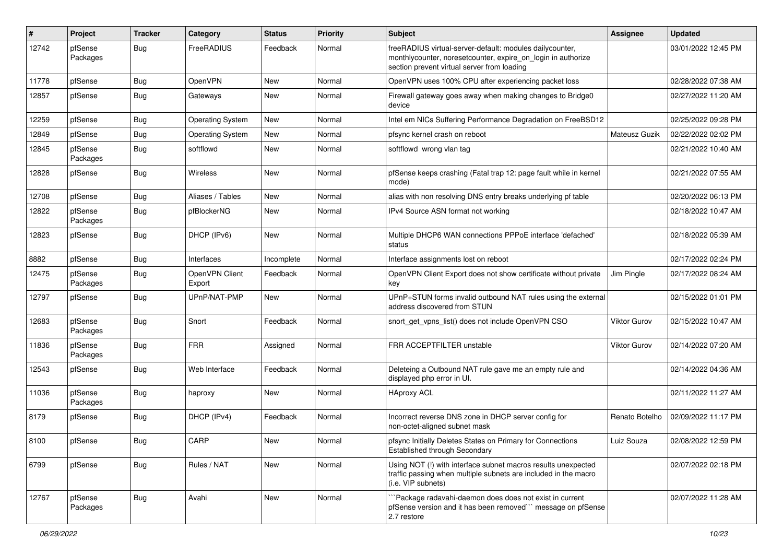| #     | Project             | <b>Tracker</b> | Category                 | <b>Status</b> | <b>Priority</b> | <b>Subject</b>                                                                                                                                                           | Assignee       | <b>Updated</b>      |
|-------|---------------------|----------------|--------------------------|---------------|-----------------|--------------------------------------------------------------------------------------------------------------------------------------------------------------------------|----------------|---------------------|
| 12742 | pfSense<br>Packages | Bug            | FreeRADIUS               | Feedback      | Normal          | freeRADIUS virtual-server-default: modules dailycounter,<br>monthlycounter, noreset counter, expire on login in authorize<br>section prevent virtual server from loading |                | 03/01/2022 12:45 PM |
| 11778 | pfSense             | <b>Bug</b>     | OpenVPN                  | <b>New</b>    | Normal          | OpenVPN uses 100% CPU after experiencing packet loss                                                                                                                     |                | 02/28/2022 07:38 AM |
| 12857 | pfSense             | Bug            | Gateways                 | <b>New</b>    | Normal          | Firewall gateway goes away when making changes to Bridge0<br>device                                                                                                      |                | 02/27/2022 11:20 AM |
| 12259 | pfSense             | Bug            | <b>Operating System</b>  | <b>New</b>    | Normal          | Intel em NICs Suffering Performance Degradation on FreeBSD12                                                                                                             |                | 02/25/2022 09:28 PM |
| 12849 | pfSense             | Bug            | <b>Operating System</b>  | <b>New</b>    | Normal          | pfsync kernel crash on reboot                                                                                                                                            | Mateusz Guzik  | 02/22/2022 02:02 PM |
| 12845 | pfSense<br>Packages | Bug            | softflowd                | <b>New</b>    | Normal          | softflowd wrong vlan tag                                                                                                                                                 |                | 02/21/2022 10:40 AM |
| 12828 | pfSense             | Bug            | Wireless                 | <b>New</b>    | Normal          | pfSense keeps crashing (Fatal trap 12: page fault while in kernel<br>mode)                                                                                               |                | 02/21/2022 07:55 AM |
| 12708 | pfSense             | Bug            | Aliases / Tables         | <b>New</b>    | Normal          | alias with non resolving DNS entry breaks underlying pf table                                                                                                            |                | 02/20/2022 06:13 PM |
| 12822 | pfSense<br>Packages | Bug            | pfBlockerNG              | New           | Normal          | IPv4 Source ASN format not working                                                                                                                                       |                | 02/18/2022 10:47 AM |
| 12823 | pfSense             | Bug            | DHCP (IPv6)              | <b>New</b>    | Normal          | Multiple DHCP6 WAN connections PPPoE interface 'defached'<br>status                                                                                                      |                | 02/18/2022 05:39 AM |
| 8882  | pfSense             | Bug            | Interfaces               | Incomplete    | Normal          | Interface assignments lost on reboot                                                                                                                                     |                | 02/17/2022 02:24 PM |
| 12475 | pfSense<br>Packages | Bug            | OpenVPN Client<br>Export | Feedback      | Normal          | OpenVPN Client Export does not show certificate without private<br>key                                                                                                   | Jim Pingle     | 02/17/2022 08:24 AM |
| 12797 | pfSense             | Bug            | UPnP/NAT-PMP             | <b>New</b>    | Normal          | UPnP+STUN forms invalid outbound NAT rules using the external<br>address discovered from STUN                                                                            |                | 02/15/2022 01:01 PM |
| 12683 | pfSense<br>Packages | Bug            | Snort                    | Feedback      | Normal          | snort get vpns list() does not include OpenVPN CSO                                                                                                                       | Viktor Gurov   | 02/15/2022 10:47 AM |
| 11836 | pfSense<br>Packages | Bug            | <b>FRR</b>               | Assigned      | Normal          | FRR ACCEPTFILTER unstable                                                                                                                                                | Viktor Gurov   | 02/14/2022 07:20 AM |
| 12543 | pfSense             | Bug            | Web Interface            | Feedback      | Normal          | Deleteing a Outbound NAT rule gave me an empty rule and<br>displayed php error in UI.                                                                                    |                | 02/14/2022 04:36 AM |
| 11036 | pfSense<br>Packages | Bug            | haproxy                  | New           | Normal          | <b>HAproxy ACL</b>                                                                                                                                                       |                | 02/11/2022 11:27 AM |
| 8179  | pfSense             | Bug            | DHCP (IPv4)              | Feedback      | Normal          | Incorrect reverse DNS zone in DHCP server config for<br>non-octet-aligned subnet mask                                                                                    | Renato Botelho | 02/09/2022 11:17 PM |
| 8100  | pfSense             | Bug            | CARP                     | New           | Normal          | pfsync Initially Deletes States on Primary for Connections<br>Established through Secondary                                                                              | Luiz Souza     | 02/08/2022 12:59 PM |
| 6799  | pfSense             | Bug            | Rules / NAT              | New           | Normal          | Using NOT (!) with interface subnet macros results unexpected<br>traffic passing when multiple subnets are included in the macro<br>(i.e. VIP subnets)                   |                | 02/07/2022 02:18 PM |
| 12767 | pfSense<br>Packages | Bug            | Avahi                    | New           | Normal          | `Package radavahi-daemon does does not exist in current<br>pfSense version and it has been removed" message on pfSense<br>2.7 restore                                    |                | 02/07/2022 11:28 AM |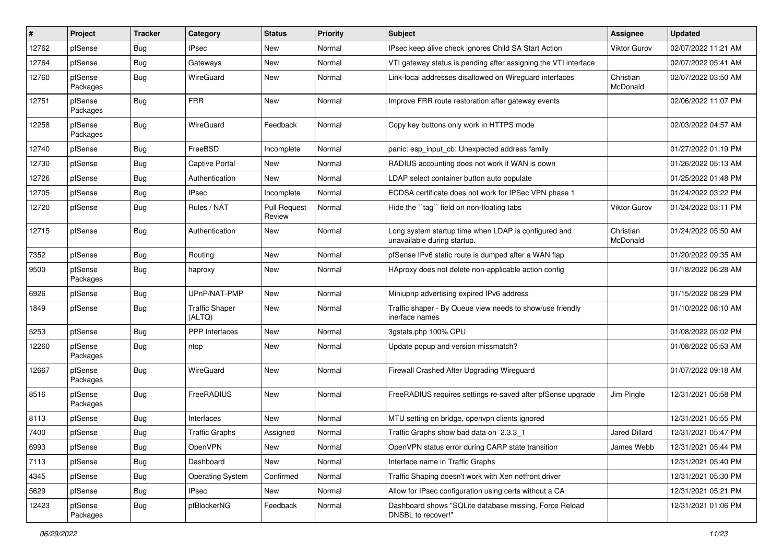| $\#$  | Project             | <b>Tracker</b> | Category                        | <b>Status</b>                 | <b>Priority</b> | <b>Subject</b>                                                                      | <b>Assignee</b>       | <b>Updated</b>      |
|-------|---------------------|----------------|---------------------------------|-------------------------------|-----------------|-------------------------------------------------------------------------------------|-----------------------|---------------------|
| 12762 | pfSense             | <b>Bug</b>     | <b>IPsec</b>                    | <b>New</b>                    | Normal          | IPsec keep alive check ignores Child SA Start Action                                | Viktor Gurov          | 02/07/2022 11:21 AM |
| 12764 | pfSense             | <b>Bug</b>     | Gateways                        | <b>New</b>                    | Normal          | VTI gateway status is pending after assigning the VTI interface                     |                       | 02/07/2022 05:41 AM |
| 12760 | pfSense<br>Packages | Bug            | WireGuard                       | <b>New</b>                    | Normal          | Link-local addresses disallowed on Wireguard interfaces                             | Christian<br>McDonald | 02/07/2022 03:50 AM |
| 12751 | pfSense<br>Packages | <b>Bug</b>     | <b>FRR</b>                      | <b>New</b>                    | Normal          | Improve FRR route restoration after gateway events                                  |                       | 02/06/2022 11:07 PM |
| 12258 | pfSense<br>Packages | Bug            | WireGuard                       | Feedback                      | Normal          | Copy key buttons only work in HTTPS mode                                            |                       | 02/03/2022 04:57 AM |
| 12740 | pfSense             | <b>Bug</b>     | FreeBSD                         | Incomplete                    | Normal          | panic: esp input cb: Unexpected address family                                      |                       | 01/27/2022 01:19 PM |
| 12730 | pfSense             | <b>Bug</b>     | <b>Captive Portal</b>           | <b>New</b>                    | Normal          | RADIUS accounting does not work if WAN is down                                      |                       | 01/26/2022 05:13 AM |
| 12726 | pfSense             | <b>Bug</b>     | Authentication                  | New                           | Normal          | LDAP select container button auto populate                                          |                       | 01/25/2022 01:48 PM |
| 12705 | pfSense             | <b>Bug</b>     | <b>IPsec</b>                    | Incomplete                    | Normal          | ECDSA certificate does not work for IPSec VPN phase 1                               |                       | 01/24/2022 03:22 PM |
| 12720 | pfSense             | <b>Bug</b>     | Rules / NAT                     | <b>Pull Request</b><br>Review | Normal          | Hide the "tag" field on non-floating tabs                                           | Viktor Gurov          | 01/24/2022 03:11 PM |
| 12715 | pfSense             | Bug            | Authentication                  | <b>New</b>                    | Normal          | Long system startup time when LDAP is configured and<br>unavailable during startup. | Christian<br>McDonald | 01/24/2022 05:50 AM |
| 7352  | pfSense             | Bug            | Routing                         | <b>New</b>                    | Normal          | pfSense IPv6 static route is dumped after a WAN flap                                |                       | 01/20/2022 09:35 AM |
| 9500  | pfSense<br>Packages | <b>Bug</b>     | haproxy                         | <b>New</b>                    | Normal          | HAproxy does not delete non-applicable action config                                |                       | 01/18/2022 06:28 AM |
| 6926  | pfSense             | <b>Bug</b>     | UPnP/NAT-PMP                    | <b>New</b>                    | Normal          | Miniupnp advertising expired IPv6 address                                           |                       | 01/15/2022 08:29 PM |
| 1849  | pfSense             | <b>Bug</b>     | <b>Traffic Shaper</b><br>(ALTQ) | <b>New</b>                    | Normal          | Traffic shaper - By Queue view needs to show/use friendly<br>inerface names         |                       | 01/10/2022 08:10 AM |
| 5253  | pfSense             | <b>Bug</b>     | <b>PPP</b> Interfaces           | <b>New</b>                    | Normal          | 3gstats.php 100% CPU                                                                |                       | 01/08/2022 05:02 PM |
| 12260 | pfSense<br>Packages | <b>Bug</b>     | ntop                            | <b>New</b>                    | Normal          | Update popup and version missmatch?                                                 |                       | 01/08/2022 05:53 AM |
| 12667 | pfSense<br>Packages | <b>Bug</b>     | WireGuard                       | <b>New</b>                    | Normal          | Firewall Crashed After Upgrading Wireguard                                          |                       | 01/07/2022 09:18 AM |
| 8516  | pfSense<br>Packages | Bug            | FreeRADIUS                      | <b>New</b>                    | Normal          | FreeRADIUS requires settings re-saved after pfSense upgrade                         | Jim Pingle            | 12/31/2021 05:58 PM |
| 8113  | pfSense             | <b>Bug</b>     | Interfaces                      | New                           | Normal          | MTU setting on bridge, openypn clients ignored                                      |                       | 12/31/2021 05:55 PM |
| 7400  | pfSense             | <b>Bug</b>     | <b>Traffic Graphs</b>           | Assigned                      | Normal          | Traffic Graphs show bad data on 2.3.3 1                                             | <b>Jared Dillard</b>  | 12/31/2021 05:47 PM |
| 6993  | pfSense             | Bug            | OpenVPN                         | New                           | Normal          | OpenVPN status error during CARP state transition                                   | James Webb            | 12/31/2021 05:44 PM |
| 7113  | pfSense             | <b>Bug</b>     | Dashboard                       | New                           | Normal          | Interface name in Traffic Graphs                                                    |                       | 12/31/2021 05:40 PM |
| 4345  | pfSense             | Bug            | <b>Operating System</b>         | Confirmed                     | Normal          | Traffic Shaping doesn't work with Xen netfront driver                               |                       | 12/31/2021 05:30 PM |
| 5629  | pfSense             | <b>Bug</b>     | <b>IPsec</b>                    | New                           | Normal          | Allow for IPsec configuration using certs without a CA                              |                       | 12/31/2021 05:21 PM |
| 12423 | pfSense<br>Packages | Bug            | pfBlockerNG                     | Feedback                      | Normal          | Dashboard shows "SQLite database missing, Force Reload<br>DNSBL to recover!"        |                       | 12/31/2021 01:06 PM |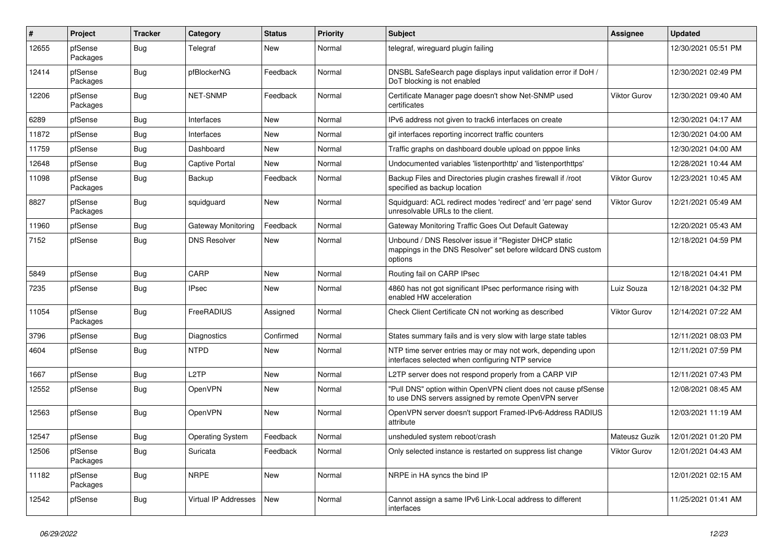| #     | Project             | <b>Tracker</b> | Category                | <b>Status</b> | Priority | Subject                                                                                                                          | Assignee      | <b>Updated</b>      |
|-------|---------------------|----------------|-------------------------|---------------|----------|----------------------------------------------------------------------------------------------------------------------------------|---------------|---------------------|
| 12655 | pfSense<br>Packages | <b>Bug</b>     | Telegraf                | New           | Normal   | telegraf, wireguard plugin failing                                                                                               |               | 12/30/2021 05:51 PM |
| 12414 | pfSense<br>Packages | Bug            | pfBlockerNG             | Feedback      | Normal   | DNSBL SafeSearch page displays input validation error if DoH /<br>DoT blocking is not enabled                                    |               | 12/30/2021 02:49 PM |
| 12206 | pfSense<br>Packages | <b>Bug</b>     | <b>NET-SNMP</b>         | Feedback      | Normal   | Certificate Manager page doesn't show Net-SNMP used<br>certificates                                                              | Viktor Gurov  | 12/30/2021 09:40 AM |
| 6289  | pfSense             | <b>Bug</b>     | Interfaces              | <b>New</b>    | Normal   | IPv6 address not given to track6 interfaces on create                                                                            |               | 12/30/2021 04:17 AM |
| 11872 | pfSense             | Bug            | Interfaces              | New           | Normal   | gif interfaces reporting incorrect traffic counters                                                                              |               | 12/30/2021 04:00 AM |
| 11759 | pfSense             | Bug            | Dashboard               | New           | Normal   | Traffic graphs on dashboard double upload on pppoe links                                                                         |               | 12/30/2021 04:00 AM |
| 12648 | pfSense             | Bug            | Captive Portal          | <b>New</b>    | Normal   | Undocumented variables 'listenporthttp' and 'listenporthttps'                                                                    |               | 12/28/2021 10:44 AM |
| 11098 | pfSense<br>Packages | Bug            | Backup                  | Feedback      | Normal   | Backup Files and Directories plugin crashes firewall if /root<br>specified as backup location                                    | Viktor Gurov  | 12/23/2021 10:45 AM |
| 8827  | pfSense<br>Packages | <b>Bug</b>     | squidguard              | <b>New</b>    | Normal   | Squidguard: ACL redirect modes 'redirect' and 'err page' send<br>unresolvable URLs to the client.                                | Viktor Gurov  | 12/21/2021 05:49 AM |
| 11960 | pfSense             | <b>Bug</b>     | Gateway Monitoring      | Feedback      | Normal   | Gateway Monitoring Traffic Goes Out Default Gateway                                                                              |               | 12/20/2021 05:43 AM |
| 7152  | pfSense             | Bug            | <b>DNS Resolver</b>     | New           | Normal   | Unbound / DNS Resolver issue if "Register DHCP static<br>mappings in the DNS Resolver" set before wildcard DNS custom<br>options |               | 12/18/2021 04:59 PM |
| 5849  | pfSense             | Bug            | CARP                    | New           | Normal   | Routing fail on CARP IPsec                                                                                                       |               | 12/18/2021 04:41 PM |
| 7235  | pfSense             | <b>Bug</b>     | <b>IPsec</b>            | New           | Normal   | 4860 has not got significant IPsec performance rising with<br>enabled HW acceleration                                            | Luiz Souza    | 12/18/2021 04:32 PM |
| 11054 | pfSense<br>Packages | Bug            | FreeRADIUS              | Assigned      | Normal   | Check Client Certificate CN not working as described                                                                             | Viktor Gurov  | 12/14/2021 07:22 AM |
| 3796  | pfSense             | <b>Bug</b>     | Diagnostics             | Confirmed     | Normal   | States summary fails and is very slow with large state tables                                                                    |               | 12/11/2021 08:03 PM |
| 4604  | pfSense             | Bug            | <b>NTPD</b>             | New           | Normal   | NTP time server entries may or may not work, depending upon<br>interfaces selected when configuring NTP service                  |               | 12/11/2021 07:59 PM |
| 1667  | pfSense             | Bug            | L <sub>2</sub> TP       | <b>New</b>    | Normal   | L2TP server does not respond properly from a CARP VIP                                                                            |               | 12/11/2021 07:43 PM |
| 12552 | pfSense             | Bug            | OpenVPN                 | New           | Normal   | "Pull DNS" option within OpenVPN client does not cause pfSense<br>to use DNS servers assigned by remote OpenVPN server           |               | 12/08/2021 08:45 AM |
| 12563 | pfSense             | <b>Bug</b>     | OpenVPN                 | New           | Normal   | OpenVPN server doesn't support Framed-IPv6-Address RADIUS<br>attribute                                                           |               | 12/03/2021 11:19 AM |
| 12547 | pfSense             | <b>Bug</b>     | <b>Operating System</b> | Feedback      | Normal   | unsheduled system reboot/crash                                                                                                   | Mateusz Guzik | 12/01/2021 01:20 PM |
| 12506 | pfSense<br>Packages | <b>Bug</b>     | Suricata                | Feedback      | Normal   | Only selected instance is restarted on suppress list change                                                                      | Viktor Gurov  | 12/01/2021 04:43 AM |
| 11182 | pfSense<br>Packages | Bug            | <b>NRPE</b>             | New           | Normal   | NRPE in HA syncs the bind IP                                                                                                     |               | 12/01/2021 02:15 AM |
| 12542 | pfSense             | <b>Bug</b>     | Virtual IP Addresses    | New           | Normal   | Cannot assign a same IPv6 Link-Local address to different<br>interfaces                                                          |               | 11/25/2021 01:41 AM |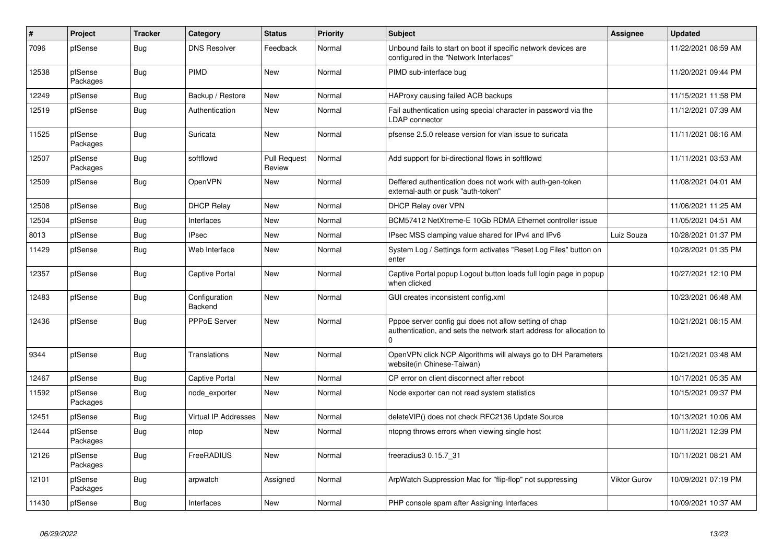| #     | Project             | <b>Tracker</b> | Category                    | <b>Status</b>                 | Priority | <b>Subject</b>                                                                                                                             | Assignee            | <b>Updated</b>      |
|-------|---------------------|----------------|-----------------------------|-------------------------------|----------|--------------------------------------------------------------------------------------------------------------------------------------------|---------------------|---------------------|
| 7096  | pfSense             | Bug            | <b>DNS Resolver</b>         | Feedback                      | Normal   | Unbound fails to start on boot if specific network devices are<br>configured in the "Network Interfaces"                                   |                     | 11/22/2021 08:59 AM |
| 12538 | pfSense<br>Packages | <b>Bug</b>     | PIMD                        | <b>New</b>                    | Normal   | PIMD sub-interface bug                                                                                                                     |                     | 11/20/2021 09:44 PM |
| 12249 | pfSense             | <b>Bug</b>     | Backup / Restore            | <b>New</b>                    | Normal   | HAProxy causing failed ACB backups                                                                                                         |                     | 11/15/2021 11:58 PM |
| 12519 | pfSense             | Bug            | Authentication              | New                           | Normal   | Fail authentication using special character in password via the<br>LDAP connector                                                          |                     | 11/12/2021 07:39 AM |
| 11525 | pfSense<br>Packages | Bug            | Suricata                    | <b>New</b>                    | Normal   | pfsense 2.5.0 release version for vlan issue to suricata                                                                                   |                     | 11/11/2021 08:16 AM |
| 12507 | pfSense<br>Packages | <b>Bug</b>     | softflowd                   | <b>Pull Request</b><br>Review | Normal   | Add support for bi-directional flows in softflowd                                                                                          |                     | 11/11/2021 03:53 AM |
| 12509 | pfSense             | <b>Bug</b>     | OpenVPN                     | <b>New</b>                    | Normal   | Deffered authentication does not work with auth-gen-token<br>external-auth or pusk "auth-token"                                            |                     | 11/08/2021 04:01 AM |
| 12508 | pfSense             | Bug            | <b>DHCP Relay</b>           | New                           | Normal   | DHCP Relay over VPN                                                                                                                        |                     | 11/06/2021 11:25 AM |
| 12504 | pfSense             | Bug            | Interfaces                  | New                           | Normal   | BCM57412 NetXtreme-E 10Gb RDMA Ethernet controller issue                                                                                   |                     | 11/05/2021 04:51 AM |
| 8013  | pfSense             | Bug            | <b>IPsec</b>                | New                           | Normal   | IPsec MSS clamping value shared for IPv4 and IPv6                                                                                          | Luiz Souza          | 10/28/2021 01:37 PM |
| 11429 | pfSense             | Bug            | Web Interface               | <b>New</b>                    | Normal   | System Log / Settings form activates "Reset Log Files" button on<br>enter                                                                  |                     | 10/28/2021 01:35 PM |
| 12357 | pfSense             | <b>Bug</b>     | <b>Captive Portal</b>       | <b>New</b>                    | Normal   | Captive Portal popup Logout button loads full login page in popup<br>when clicked                                                          |                     | 10/27/2021 12:10 PM |
| 12483 | pfSense             | Bug            | Configuration<br>Backend    | <b>New</b>                    | Normal   | GUI creates inconsistent config.xml                                                                                                        |                     | 10/23/2021 06:48 AM |
| 12436 | pfSense             | Bug            | <b>PPPoE Server</b>         | <b>New</b>                    | Normal   | Pppoe server config gui does not allow setting of chap<br>authentication, and sets the network start address for allocation to<br>$\Omega$ |                     | 10/21/2021 08:15 AM |
| 9344  | pfSense             | Bug            | <b>Translations</b>         | <b>New</b>                    | Normal   | OpenVPN click NCP Algorithms will always go to DH Parameters<br>website(in Chinese-Taiwan)                                                 |                     | 10/21/2021 03:48 AM |
| 12467 | pfSense             | <b>Bug</b>     | <b>Captive Portal</b>       | <b>New</b>                    | Normal   | CP error on client disconnect after reboot                                                                                                 |                     | 10/17/2021 05:35 AM |
| 11592 | pfSense<br>Packages | <b>Bug</b>     | node_exporter               | <b>New</b>                    | Normal   | Node exporter can not read system statistics                                                                                               |                     | 10/15/2021 09:37 PM |
| 12451 | pfSense             | Bug            | <b>Virtual IP Addresses</b> | <b>New</b>                    | Normal   | deleteVIP() does not check RFC2136 Update Source                                                                                           |                     | 10/13/2021 10:06 AM |
| 12444 | pfSense<br>Packages | Bug            | ntop                        | <b>New</b>                    | Normal   | ntopng throws errors when viewing single host                                                                                              |                     | 10/11/2021 12:39 PM |
| 12126 | pfSense<br>Packages | Bug            | FreeRADIUS                  | <b>New</b>                    | Normal   | freeradius3 0.15.7 31                                                                                                                      |                     | 10/11/2021 08:21 AM |
| 12101 | pfSense<br>Packages | <b>Bug</b>     | arpwatch                    | Assigned                      | Normal   | ArpWatch Suppression Mac for "flip-flop" not suppressing                                                                                   | <b>Viktor Gurov</b> | 10/09/2021 07:19 PM |
| 11430 | pfSense             | Bug            | Interfaces                  | <b>New</b>                    | Normal   | PHP console spam after Assigning Interfaces                                                                                                |                     | 10/09/2021 10:37 AM |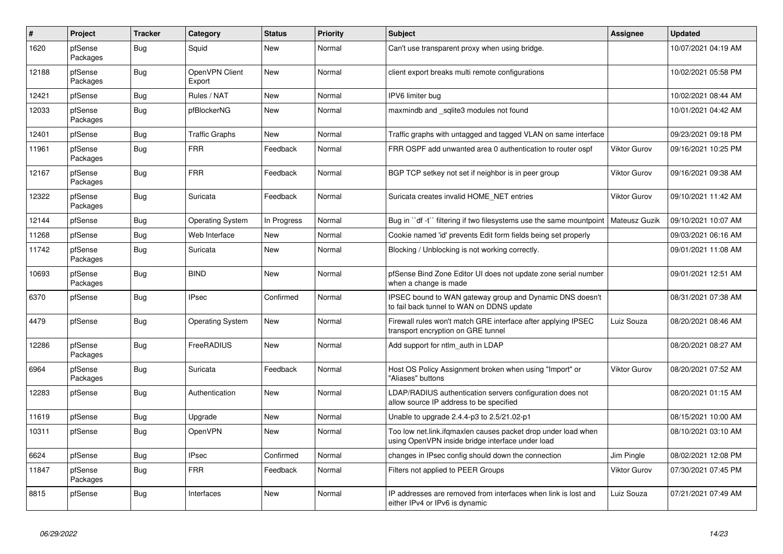| #     | <b>Project</b>      | <b>Tracker</b> | Category                 | <b>Status</b> | <b>Priority</b> | <b>Subject</b>                                                                                                    | Assignee            | <b>Updated</b>      |
|-------|---------------------|----------------|--------------------------|---------------|-----------------|-------------------------------------------------------------------------------------------------------------------|---------------------|---------------------|
| 1620  | pfSense<br>Packages | Bug            | Squid                    | <b>New</b>    | Normal          | Can't use transparent proxy when using bridge.                                                                    |                     | 10/07/2021 04:19 AM |
| 12188 | pfSense<br>Packages | <b>Bug</b>     | OpenVPN Client<br>Export | <b>New</b>    | Normal          | client export breaks multi remote configurations                                                                  |                     | 10/02/2021 05:58 PM |
| 12421 | pfSense             | <b>Bug</b>     | Rules / NAT              | <b>New</b>    | Normal          | IPV6 limiter bug                                                                                                  |                     | 10/02/2021 08:44 AM |
| 12033 | pfSense<br>Packages | <b>Bug</b>     | pfBlockerNG              | <b>New</b>    | Normal          | maxmindb and _sqlite3 modules not found                                                                           |                     | 10/01/2021 04:42 AM |
| 12401 | pfSense             | Bug            | <b>Traffic Graphs</b>    | New           | Normal          | Traffic graphs with untagged and tagged VLAN on same interface                                                    |                     | 09/23/2021 09:18 PM |
| 11961 | pfSense<br>Packages | <b>Bug</b>     | <b>FRR</b>               | Feedback      | Normal          | FRR OSPF add unwanted area 0 authentication to router ospf                                                        | <b>Viktor Gurov</b> | 09/16/2021 10:25 PM |
| 12167 | pfSense<br>Packages | Bug            | <b>FRR</b>               | Feedback      | Normal          | BGP TCP setkey not set if neighbor is in peer group                                                               | <b>Viktor Gurov</b> | 09/16/2021 09:38 AM |
| 12322 | pfSense<br>Packages | <b>Bug</b>     | Suricata                 | Feedback      | Normal          | Suricata creates invalid HOME NET entries                                                                         | Viktor Gurov        | 09/10/2021 11:42 AM |
| 12144 | pfSense             | Bug            | <b>Operating System</b>  | In Progress   | Normal          | Bug in "df -t" filtering if two filesystems use the same mountpoint                                               | Mateusz Guzik       | 09/10/2021 10:07 AM |
| 11268 | pfSense             | <b>Bug</b>     | Web Interface            | <b>New</b>    | Normal          | Cookie named 'id' prevents Edit form fields being set properly                                                    |                     | 09/03/2021 06:16 AM |
| 11742 | pfSense<br>Packages | Bug            | Suricata                 | <b>New</b>    | Normal          | Blocking / Unblocking is not working correctly.                                                                   |                     | 09/01/2021 11:08 AM |
| 10693 | pfSense<br>Packages | <b>Bug</b>     | <b>BIND</b>              | New           | Normal          | pfSense Bind Zone Editor UI does not update zone serial number<br>when a change is made                           |                     | 09/01/2021 12:51 AM |
| 6370  | pfSense             | <b>Bug</b>     | <b>IPsec</b>             | Confirmed     | Normal          | IPSEC bound to WAN gateway group and Dynamic DNS doesn't<br>to fail back tunnel to WAN on DDNS update             |                     | 08/31/2021 07:38 AM |
| 4479  | pfSense             | <b>Bug</b>     | <b>Operating System</b>  | <b>New</b>    | Normal          | Firewall rules won't match GRE interface after applying IPSEC<br>transport encryption on GRE tunnel               | Luiz Souza          | 08/20/2021 08:46 AM |
| 12286 | pfSense<br>Packages | Bug            | FreeRADIUS               | <b>New</b>    | Normal          | Add support for ntlm auth in LDAP                                                                                 |                     | 08/20/2021 08:27 AM |
| 6964  | pfSense<br>Packages | <b>Bug</b>     | Suricata                 | Feedback      | Normal          | Host OS Policy Assignment broken when using "Import" or<br>"Aliases" buttons                                      | <b>Viktor Gurov</b> | 08/20/2021 07:52 AM |
| 12283 | pfSense             | Bug            | Authentication           | New           | Normal          | LDAP/RADIUS authentication servers configuration does not<br>allow source IP address to be specified              |                     | 08/20/2021 01:15 AM |
| 11619 | pfSense             | Bug            | Upgrade                  | <b>New</b>    | Normal          | Unable to upgrade 2.4.4-p3 to 2.5/21.02-p1                                                                        |                     | 08/15/2021 10:00 AM |
| 10311 | pfSense             | <b>Bug</b>     | OpenVPN                  | New           | Normal          | Too low net.link.ifqmaxlen causes packet drop under load when<br>using OpenVPN inside bridge interface under load |                     | 08/10/2021 03:10 AM |
| 6624  | pfSense             | <b>Bug</b>     | <b>IPsec</b>             | Confirmed     | Normal          | changes in IPsec config should down the connection                                                                | Jim Pingle          | 08/02/2021 12:08 PM |
| 11847 | pfSense<br>Packages | <b>Bug</b>     | <b>FRR</b>               | Feedback      | Normal          | Filters not applied to PEER Groups                                                                                | <b>Viktor Gurov</b> | 07/30/2021 07:45 PM |
| 8815  | pfSense             | Bug            | Interfaces               | New           | Normal          | IP addresses are removed from interfaces when link is lost and<br>either IPv4 or IPv6 is dynamic                  | Luiz Souza          | 07/21/2021 07:49 AM |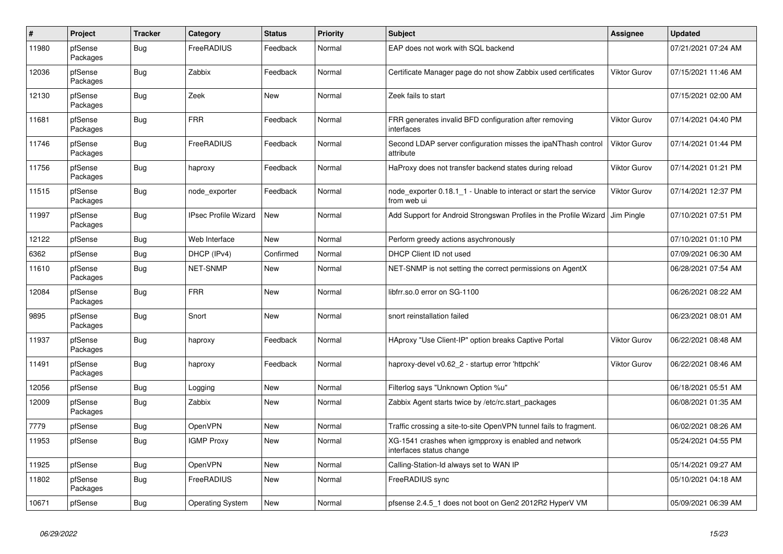| $\sharp$ | Project             | <b>Tracker</b> | Category                    | <b>Status</b> | <b>Priority</b> | <b>Subject</b>                                                                    | Assignee            | <b>Updated</b>      |
|----------|---------------------|----------------|-----------------------------|---------------|-----------------|-----------------------------------------------------------------------------------|---------------------|---------------------|
| 11980    | pfSense<br>Packages | Bug            | FreeRADIUS                  | Feedback      | Normal          | EAP does not work with SQL backend                                                |                     | 07/21/2021 07:24 AM |
| 12036    | pfSense<br>Packages | <b>Bug</b>     | Zabbix                      | Feedback      | Normal          | Certificate Manager page do not show Zabbix used certificates                     | <b>Viktor Gurov</b> | 07/15/2021 11:46 AM |
| 12130    | pfSense<br>Packages | Bug            | Zeek                        | <b>New</b>    | Normal          | Zeek fails to start                                                               |                     | 07/15/2021 02:00 AM |
| 11681    | pfSense<br>Packages | <b>Bug</b>     | <b>FRR</b>                  | Feedback      | Normal          | FRR generates invalid BFD configuration after removing<br>interfaces              | <b>Viktor Gurov</b> | 07/14/2021 04:40 PM |
| 11746    | pfSense<br>Packages | <b>Bug</b>     | FreeRADIUS                  | Feedback      | Normal          | Second LDAP server configuration misses the ipaNThash control<br>attribute        | <b>Viktor Gurov</b> | 07/14/2021 01:44 PM |
| 11756    | pfSense<br>Packages | <b>Bug</b>     | haproxy                     | Feedback      | Normal          | HaProxy does not transfer backend states during reload                            | <b>Viktor Gurov</b> | 07/14/2021 01:21 PM |
| 11515    | pfSense<br>Packages | Bug            | node_exporter               | Feedback      | Normal          | node_exporter 0.18.1_1 - Unable to interact or start the service<br>from web ui   | <b>Viktor Gurov</b> | 07/14/2021 12:37 PM |
| 11997    | pfSense<br>Packages | Bug            | <b>IPsec Profile Wizard</b> | New           | Normal          | Add Support for Android Strongswan Profiles in the Profile Wizard                 | Jim Pingle          | 07/10/2021 07:51 PM |
| 12122    | pfSense             | <b>Bug</b>     | Web Interface               | <b>New</b>    | Normal          | Perform greedy actions asychronously                                              |                     | 07/10/2021 01:10 PM |
| 6362     | pfSense             | Bug            | DHCP (IPv4)                 | Confirmed     | Normal          | DHCP Client ID not used                                                           |                     | 07/09/2021 06:30 AM |
| 11610    | pfSense<br>Packages | Bug            | <b>NET-SNMP</b>             | New           | Normal          | NET-SNMP is not setting the correct permissions on AgentX                         |                     | 06/28/2021 07:54 AM |
| 12084    | pfSense<br>Packages | <b>Bug</b>     | <b>FRR</b>                  | <b>New</b>    | Normal          | libfrr.so.0 error on SG-1100                                                      |                     | 06/26/2021 08:22 AM |
| 9895     | pfSense<br>Packages | Bug            | Snort                       | <b>New</b>    | Normal          | snort reinstallation failed                                                       |                     | 06/23/2021 08:01 AM |
| 11937    | pfSense<br>Packages | <b>Bug</b>     | haproxy                     | Feedback      | Normal          | HAproxy "Use Client-IP" option breaks Captive Portal                              | <b>Viktor Gurov</b> | 06/22/2021 08:48 AM |
| 11491    | pfSense<br>Packages | <b>Bug</b>     | haproxy                     | Feedback      | Normal          | haproxy-devel v0.62_2 - startup error 'httpchk'                                   | <b>Viktor Gurov</b> | 06/22/2021 08:46 AM |
| 12056    | pfSense             | Bug            | Logging                     | New           | Normal          | Filterlog says "Unknown Option %u"                                                |                     | 06/18/2021 05:51 AM |
| 12009    | pfSense<br>Packages | <b>Bug</b>     | Zabbix                      | New           | Normal          | Zabbix Agent starts twice by /etc/rc.start packages                               |                     | 06/08/2021 01:35 AM |
| 7779     | pfSense             | <b>Bug</b>     | <b>OpenVPN</b>              | <b>New</b>    | Normal          | Traffic crossing a site-to-site OpenVPN tunnel fails to fragment.                 |                     | 06/02/2021 08:26 AM |
| 11953    | pfSense             | Bug            | <b>IGMP Proxy</b>           | New           | Normal          | XG-1541 crashes when igmpproxy is enabled and network<br>interfaces status change |                     | 05/24/2021 04:55 PM |
| 11925    | pfSense             | <b>Bug</b>     | <b>OpenVPN</b>              | New           | Normal          | Calling-Station-Id always set to WAN IP                                           |                     | 05/14/2021 09:27 AM |
| 11802    | pfSense<br>Packages | <b>Bug</b>     | FreeRADIUS                  | <b>New</b>    | Normal          | FreeRADIUS sync                                                                   |                     | 05/10/2021 04:18 AM |
| 10671    | pfSense             | <b>Bug</b>     | <b>Operating System</b>     | <b>New</b>    | Normal          | pfsense 2.4.5 1 does not boot on Gen2 2012R2 HyperV VM                            |                     | 05/09/2021 06:39 AM |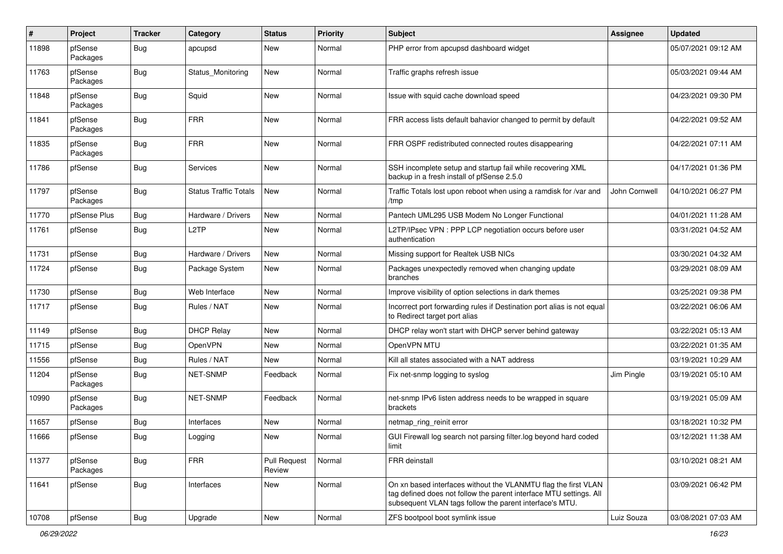| #     | Project             | <b>Tracker</b> | Category                     | <b>Status</b>                 | Priority | Subject                                                                                                                                                                                         | Assignee      | <b>Updated</b>      |
|-------|---------------------|----------------|------------------------------|-------------------------------|----------|-------------------------------------------------------------------------------------------------------------------------------------------------------------------------------------------------|---------------|---------------------|
| 11898 | pfSense<br>Packages | <b>Bug</b>     | apcupsd                      | New                           | Normal   | PHP error from apcupsd dashboard widget                                                                                                                                                         |               | 05/07/2021 09:12 AM |
| 11763 | pfSense<br>Packages | Bug            | Status_Monitoring            | New                           | Normal   | Traffic graphs refresh issue                                                                                                                                                                    |               | 05/03/2021 09:44 AM |
| 11848 | pfSense<br>Packages | <b>Bug</b>     | Squid                        | New                           | Normal   | Issue with squid cache download speed                                                                                                                                                           |               | 04/23/2021 09:30 PM |
| 11841 | pfSense<br>Packages | Bug            | <b>FRR</b>                   | <b>New</b>                    | Normal   | FRR access lists default bahavior changed to permit by default                                                                                                                                  |               | 04/22/2021 09:52 AM |
| 11835 | pfSense<br>Packages | Bug            | <b>FRR</b>                   | <b>New</b>                    | Normal   | FRR OSPF redistributed connected routes disappearing                                                                                                                                            |               | 04/22/2021 07:11 AM |
| 11786 | pfSense             | Bug            | Services                     | <b>New</b>                    | Normal   | SSH incomplete setup and startup fail while recovering XML<br>backup in a fresh install of pfSense 2.5.0                                                                                        |               | 04/17/2021 01:36 PM |
| 11797 | pfSense<br>Packages | Bug            | <b>Status Traffic Totals</b> | <b>New</b>                    | Normal   | Traffic Totals lost upon reboot when using a ramdisk for /var and<br>/tmp                                                                                                                       | John Cornwell | 04/10/2021 06:27 PM |
| 11770 | pfSense Plus        | <b>Bug</b>     | Hardware / Drivers           | <b>New</b>                    | Normal   | Pantech UML295 USB Modem No Longer Functional                                                                                                                                                   |               | 04/01/2021 11:28 AM |
| 11761 | pfSense             | <b>Bug</b>     | L <sub>2</sub> TP            | <b>New</b>                    | Normal   | L2TP/IPsec VPN : PPP LCP negotiation occurs before user<br>authentication                                                                                                                       |               | 03/31/2021 04:52 AM |
| 11731 | pfSense             | <b>Bug</b>     | Hardware / Drivers           | <b>New</b>                    | Normal   | Missing support for Realtek USB NICs                                                                                                                                                            |               | 03/30/2021 04:32 AM |
| 11724 | pfSense             | Bug            | Package System               | New                           | Normal   | Packages unexpectedly removed when changing update<br>branches                                                                                                                                  |               | 03/29/2021 08:09 AM |
| 11730 | pfSense             | <b>Bug</b>     | Web Interface                | <b>New</b>                    | Normal   | Improve visibility of option selections in dark themes                                                                                                                                          |               | 03/25/2021 09:38 PM |
| 11717 | pfSense             | Bug            | Rules / NAT                  | New                           | Normal   | Incorrect port forwarding rules if Destination port alias is not equal<br>to Redirect target port alias                                                                                         |               | 03/22/2021 06:06 AM |
| 11149 | pfSense             | Bug            | <b>DHCP Relay</b>            | <b>New</b>                    | Normal   | DHCP relay won't start with DHCP server behind gateway                                                                                                                                          |               | 03/22/2021 05:13 AM |
| 11715 | pfSense             | Bug            | OpenVPN                      | New                           | Normal   | OpenVPN MTU                                                                                                                                                                                     |               | 03/22/2021 01:35 AM |
| 11556 | pfSense             | Bug            | Rules / NAT                  | New                           | Normal   | Kill all states associated with a NAT address                                                                                                                                                   |               | 03/19/2021 10:29 AM |
| 11204 | pfSense<br>Packages | Bug            | <b>NET-SNMP</b>              | Feedback                      | Normal   | Fix net-snmp logging to syslog                                                                                                                                                                  | Jim Pingle    | 03/19/2021 05:10 AM |
| 10990 | pfSense<br>Packages | <b>Bug</b>     | <b>NET-SNMP</b>              | Feedback                      | Normal   | net-snmp IPv6 listen address needs to be wrapped in square<br>brackets                                                                                                                          |               | 03/19/2021 05:09 AM |
| 11657 | pfSense             | Bug            | Interfaces                   | New                           | Normal   | netmap ring reinit error                                                                                                                                                                        |               | 03/18/2021 10:32 PM |
| 11666 | pfSense             | <b>Bug</b>     | Logging                      | New                           | Normal   | GUI Firewall log search not parsing filter.log beyond hard coded<br>limit                                                                                                                       |               | 03/12/2021 11:38 AM |
| 11377 | pfSense<br>Packages | Bug            | <b>FRR</b>                   | <b>Pull Request</b><br>Review | Normal   | FRR deinstall                                                                                                                                                                                   |               | 03/10/2021 08:21 AM |
| 11641 | pfSense             | Bug            | Interfaces                   | New                           | Normal   | On xn based interfaces without the VLANMTU flag the first VLAN<br>tag defined does not follow the parent interface MTU settings. All<br>subsequent VLAN tags follow the parent interface's MTU. |               | 03/09/2021 06:42 PM |
| 10708 | pfSense             | <b>Bug</b>     | Upgrade                      | New                           | Normal   | ZFS bootpool boot symlink issue                                                                                                                                                                 | Luiz Souza    | 03/08/2021 07:03 AM |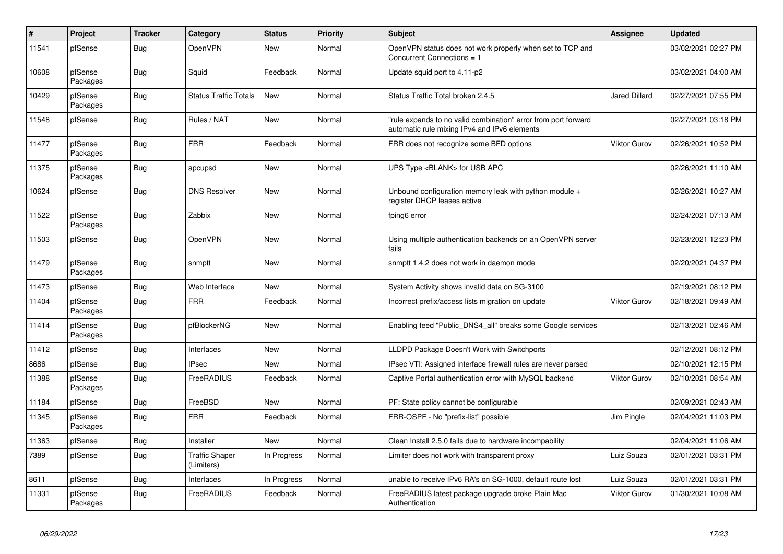| $\#$  | Project             | <b>Tracker</b> | Category                            | <b>Status</b> | Priority | <b>Subject</b>                                                                                                 | <b>Assignee</b>      | <b>Updated</b>      |
|-------|---------------------|----------------|-------------------------------------|---------------|----------|----------------------------------------------------------------------------------------------------------------|----------------------|---------------------|
| 11541 | pfSense             | Bug            | <b>OpenVPN</b>                      | New           | Normal   | OpenVPN status does not work properly when set to TCP and<br>Concurrent Connections = 1                        |                      | 03/02/2021 02:27 PM |
| 10608 | pfSense<br>Packages | <b>Bug</b>     | Squid                               | Feedback      | Normal   | Update squid port to 4.11-p2                                                                                   |                      | 03/02/2021 04:00 AM |
| 10429 | pfSense<br>Packages | Bug            | <b>Status Traffic Totals</b>        | <b>New</b>    | Normal   | Status Traffic Total broken 2.4.5                                                                              | <b>Jared Dillard</b> | 02/27/2021 07:55 PM |
| 11548 | pfSense             | <b>Bug</b>     | Rules / NAT                         | <b>New</b>    | Normal   | "rule expands to no valid combination" error from port forward<br>automatic rule mixing IPv4 and IPv6 elements |                      | 02/27/2021 03:18 PM |
| 11477 | pfSense<br>Packages | Bug            | <b>FRR</b>                          | Feedback      | Normal   | FRR does not recognize some BFD options                                                                        | <b>Viktor Gurov</b>  | 02/26/2021 10:52 PM |
| 11375 | pfSense<br>Packages | <b>Bug</b>     | apcupsd                             | <b>New</b>    | Normal   | UPS Type <blank> for USB APC</blank>                                                                           |                      | 02/26/2021 11:10 AM |
| 10624 | pfSense             | <b>Bug</b>     | <b>DNS Resolver</b>                 | <b>New</b>    | Normal   | Unbound configuration memory leak with python module +<br>register DHCP leases active                          |                      | 02/26/2021 10:27 AM |
| 11522 | pfSense<br>Packages | <b>Bug</b>     | Zabbix                              | <b>New</b>    | Normal   | fping6 error                                                                                                   |                      | 02/24/2021 07:13 AM |
| 11503 | pfSense             | Bug            | OpenVPN                             | <b>New</b>    | Normal   | Using multiple authentication backends on an OpenVPN server<br>fails                                           |                      | 02/23/2021 12:23 PM |
| 11479 | pfSense<br>Packages | Bug            | snmptt                              | <b>New</b>    | Normal   | snmptt 1.4.2 does not work in daemon mode                                                                      |                      | 02/20/2021 04:37 PM |
| 11473 | pfSense             | Bug            | Web Interface                       | <b>New</b>    | Normal   | System Activity shows invalid data on SG-3100                                                                  |                      | 02/19/2021 08:12 PM |
| 11404 | pfSense<br>Packages | Bug            | <b>FRR</b>                          | Feedback      | Normal   | Incorrect prefix/access lists migration on update                                                              | <b>Viktor Gurov</b>  | 02/18/2021 09:49 AM |
| 11414 | pfSense<br>Packages | Bug            | pfBlockerNG                         | New           | Normal   | Enabling feed "Public DNS4 all" breaks some Google services                                                    |                      | 02/13/2021 02:46 AM |
| 11412 | pfSense             | <b>Bug</b>     | Interfaces                          | <b>New</b>    | Normal   | LLDPD Package Doesn't Work with Switchports                                                                    |                      | 02/12/2021 08:12 PM |
| 8686  | pfSense             | <b>Bug</b>     | <b>IPsec</b>                        | New           | Normal   | IPsec VTI: Assigned interface firewall rules are never parsed                                                  |                      | 02/10/2021 12:15 PM |
| 11388 | pfSense<br>Packages | Bug            | FreeRADIUS                          | Feedback      | Normal   | Captive Portal authentication error with MySQL backend                                                         | Viktor Gurov         | 02/10/2021 08:54 AM |
| 11184 | pfSense             | Bug            | FreeBSD                             | <b>New</b>    | Normal   | PF: State policy cannot be configurable                                                                        |                      | 02/09/2021 02:43 AM |
| 11345 | pfSense<br>Packages | Bug            | <b>FRR</b>                          | Feedback      | Normal   | FRR-OSPF - No "prefix-list" possible                                                                           | Jim Pingle           | 02/04/2021 11:03 PM |
| 11363 | pfSense             | Bug            | Installer                           | <b>New</b>    | Normal   | Clean Install 2.5.0 fails due to hardware incompability                                                        |                      | 02/04/2021 11:06 AM |
| 7389  | pfSense             | Bug            | <b>Traffic Shaper</b><br>(Limiters) | In Progress   | Normal   | Limiter does not work with transparent proxy                                                                   | Luiz Souza           | 02/01/2021 03:31 PM |
| 8611  | pfSense             | Bug            | Interfaces                          | In Progress   | Normal   | unable to receive IPv6 RA's on SG-1000, default route lost                                                     | Luiz Souza           | 02/01/2021 03:31 PM |
| 11331 | pfSense<br>Packages | Bug            | FreeRADIUS                          | Feedback      | Normal   | FreeRADIUS latest package upgrade broke Plain Mac<br>Authentication                                            | Viktor Gurov         | 01/30/2021 10:08 AM |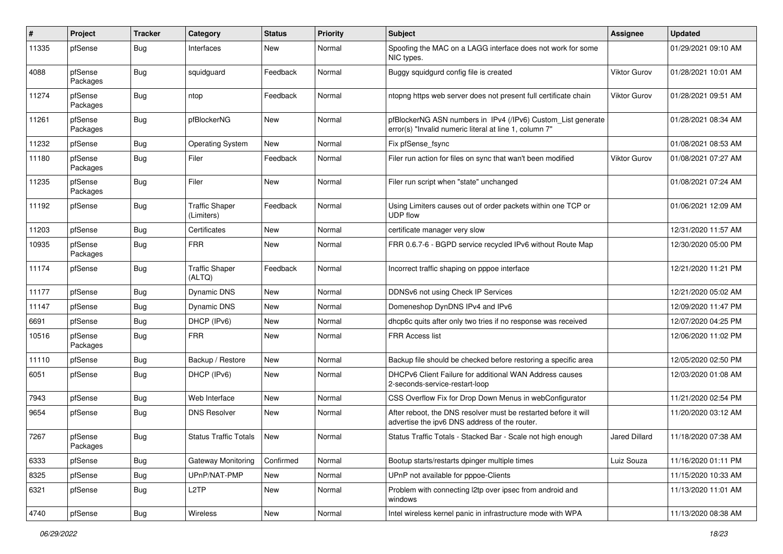| #     | Project             | <b>Tracker</b> | Category                            | <b>Status</b> | <b>Priority</b> | Subject                                                                                                                | Assignee             | <b>Updated</b>      |
|-------|---------------------|----------------|-------------------------------------|---------------|-----------------|------------------------------------------------------------------------------------------------------------------------|----------------------|---------------------|
| 11335 | pfSense             | <b>Bug</b>     | Interfaces                          | <b>New</b>    | Normal          | Spoofing the MAC on a LAGG interface does not work for some<br>NIC types.                                              |                      | 01/29/2021 09:10 AM |
| 4088  | pfSense<br>Packages | Bug            | squidguard                          | Feedback      | Normal          | Buggy squidgurd config file is created                                                                                 | Viktor Gurov         | 01/28/2021 10:01 AM |
| 11274 | pfSense<br>Packages | Bug            | ntop                                | Feedback      | Normal          | ntopng https web server does not present full certificate chain                                                        | Viktor Gurov         | 01/28/2021 09:51 AM |
| 11261 | pfSense<br>Packages | Bug            | pfBlockerNG                         | <b>New</b>    | Normal          | pfBlockerNG ASN numbers in IPv4 (/IPv6) Custom_List generate<br>error(s) "Invalid numeric literal at line 1, column 7" |                      | 01/28/2021 08:34 AM |
| 11232 | pfSense             | Bug            | <b>Operating System</b>             | New           | Normal          | Fix pfSense_fsync                                                                                                      |                      | 01/08/2021 08:53 AM |
| 11180 | pfSense<br>Packages | Bug            | Filer                               | Feedback      | Normal          | Filer run action for files on sync that wan't been modified                                                            | <b>Viktor Gurov</b>  | 01/08/2021 07:27 AM |
| 11235 | pfSense<br>Packages | Bug            | Filer                               | <b>New</b>    | Normal          | Filer run script when "state" unchanged                                                                                |                      | 01/08/2021 07:24 AM |
| 11192 | pfSense             | Bug            | <b>Traffic Shaper</b><br>(Limiters) | Feedback      | Normal          | Using Limiters causes out of order packets within one TCP or<br><b>UDP</b> flow                                        |                      | 01/06/2021 12:09 AM |
| 11203 | pfSense             | Bug            | Certificates                        | <b>New</b>    | Normal          | certificate manager very slow                                                                                          |                      | 12/31/2020 11:57 AM |
| 10935 | pfSense<br>Packages | Bug            | <b>FRR</b>                          | New           | Normal          | FRR 0.6.7-6 - BGPD service recycled IPv6 without Route Map                                                             |                      | 12/30/2020 05:00 PM |
| 11174 | pfSense             | Bug            | <b>Traffic Shaper</b><br>(ALTQ)     | Feedback      | Normal          | Incorrect traffic shaping on pppoe interface                                                                           |                      | 12/21/2020 11:21 PM |
| 11177 | pfSense             | <b>Bug</b>     | <b>Dynamic DNS</b>                  | <b>New</b>    | Normal          | DDNSv6 not using Check IP Services                                                                                     |                      | 12/21/2020 05:02 AM |
| 11147 | pfSense             | Bug            | <b>Dynamic DNS</b>                  | New           | Normal          | Domeneshop DynDNS IPv4 and IPv6                                                                                        |                      | 12/09/2020 11:47 PM |
| 6691  | pfSense             | <b>Bug</b>     | DHCP (IPv6)                         | New           | Normal          | dhcp6c quits after only two tries if no response was received                                                          |                      | 12/07/2020 04:25 PM |
| 10516 | pfSense<br>Packages | <b>Bug</b>     | <b>FRR</b>                          | <b>New</b>    | Normal          | <b>FRR Access list</b>                                                                                                 |                      | 12/06/2020 11:02 PM |
| 11110 | pfSense             | Bug            | Backup / Restore                    | <b>New</b>    | Normal          | Backup file should be checked before restoring a specific area                                                         |                      | 12/05/2020 02:50 PM |
| 6051  | pfSense             | Bug            | DHCP (IPv6)                         | New           | Normal          | DHCPv6 Client Failure for additional WAN Address causes<br>2-seconds-service-restart-loop                              |                      | 12/03/2020 01:08 AM |
| 7943  | pfSense             | <b>Bug</b>     | Web Interface                       | <b>New</b>    | Normal          | CSS Overflow Fix for Drop Down Menus in webConfigurator                                                                |                      | 11/21/2020 02:54 PM |
| 9654  | pfSense             | Bug            | <b>DNS Resolver</b>                 | New           | Normal          | After reboot, the DNS resolver must be restarted before it will<br>advertise the ipv6 DNS address of the router.       |                      | 11/20/2020 03:12 AM |
| 7267  | pfSense<br>Packages | <b>Bug</b>     | <b>Status Traffic Totals</b>        | <b>New</b>    | Normal          | Status Traffic Totals - Stacked Bar - Scale not high enough                                                            | <b>Jared Dillard</b> | 11/18/2020 07:38 AM |
| 6333  | pfSense             | <b>Bug</b>     | <b>Gateway Monitoring</b>           | Confirmed     | Normal          | Bootup starts/restarts dpinger multiple times                                                                          | Luiz Souza           | 11/16/2020 01:11 PM |
| 8325  | pfSense             | <b>Bug</b>     | UPnP/NAT-PMP                        | New           | Normal          | UPnP not available for pppoe-Clients                                                                                   |                      | 11/15/2020 10:33 AM |
| 6321  | pfSense             | Bug            | L <sub>2</sub> TP                   | New           | Normal          | Problem with connecting I2tp over ipsec from android and<br>windows                                                    |                      | 11/13/2020 11:01 AM |
| 4740  | pfSense             | <b>Bug</b>     | Wireless                            | New           | Normal          | Intel wireless kernel panic in infrastructure mode with WPA                                                            |                      | 11/13/2020 08:38 AM |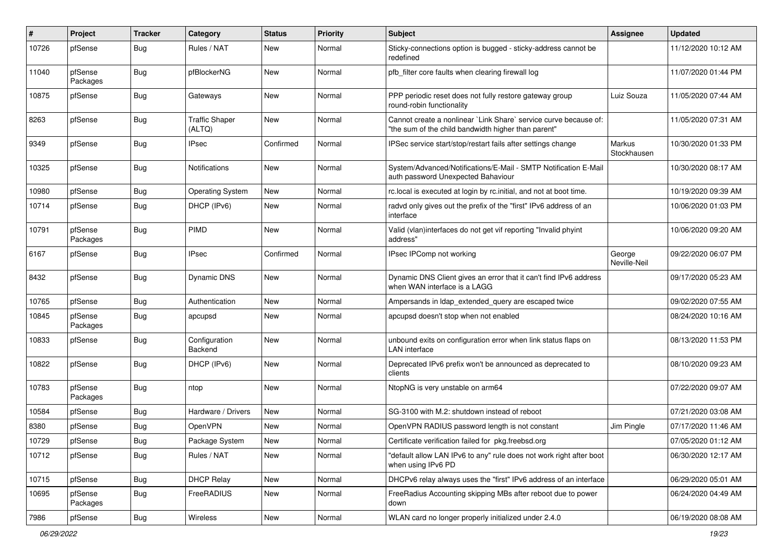| #     | Project             | <b>Tracker</b> | Category                        | <b>Status</b> | <b>Priority</b> | Subject                                                                                                                 | Assignee               | <b>Updated</b>      |
|-------|---------------------|----------------|---------------------------------|---------------|-----------------|-------------------------------------------------------------------------------------------------------------------------|------------------------|---------------------|
| 10726 | pfSense             | Bug            | Rules / NAT                     | New           | Normal          | Sticky-connections option is bugged - sticky-address cannot be<br>redefined                                             |                        | 11/12/2020 10:12 AM |
| 11040 | pfSense<br>Packages | Bug            | pfBlockerNG                     | New           | Normal          | pfb filter core faults when clearing firewall log                                                                       |                        | 11/07/2020 01:44 PM |
| 10875 | pfSense             | <b>Bug</b>     | Gateways                        | <b>New</b>    | Normal          | PPP periodic reset does not fully restore gateway group<br>round-robin functionality                                    | Luiz Souza             | 11/05/2020 07:44 AM |
| 8263  | pfSense             | <b>Bug</b>     | <b>Traffic Shaper</b><br>(ALTQ) | New           | Normal          | Cannot create a nonlinear `Link Share` service curve because of:<br>"the sum of the child bandwidth higher than parent" |                        | 11/05/2020 07:31 AM |
| 9349  | pfSense             | Bug            | <b>IPsec</b>                    | Confirmed     | Normal          | IPSec service start/stop/restart fails after settings change                                                            | Markus<br>Stockhausen  | 10/30/2020 01:33 PM |
| 10325 | pfSense             | Bug            | <b>Notifications</b>            | <b>New</b>    | Normal          | System/Advanced/Notifications/E-Mail - SMTP Notification E-Mail<br>auth password Unexpected Bahaviour                   |                        | 10/30/2020 08:17 AM |
| 10980 | pfSense             | <b>Bug</b>     | <b>Operating System</b>         | <b>New</b>    | Normal          | rc.local is executed at login by rc.initial, and not at boot time.                                                      |                        | 10/19/2020 09:39 AM |
| 10714 | pfSense             | Bug            | DHCP (IPv6)                     | New           | Normal          | radvd only gives out the prefix of the "first" IPv6 address of an<br>interface                                          |                        | 10/06/2020 01:03 PM |
| 10791 | pfSense<br>Packages | Bug            | <b>PIMD</b>                     | <b>New</b>    | Normal          | Valid (vlan)interfaces do not get vif reporting "Invalid phyint<br>address"                                             |                        | 10/06/2020 09:20 AM |
| 6167  | pfSense             | <b>Bug</b>     | <b>IPsec</b>                    | Confirmed     | Normal          | IPsec IPComp not working                                                                                                | George<br>Neville-Neil | 09/22/2020 06:07 PM |
| 8432  | pfSense             | <b>Bug</b>     | <b>Dynamic DNS</b>              | New           | Normal          | Dynamic DNS Client gives an error that it can't find IPv6 address<br>when WAN interface is a LAGG                       |                        | 09/17/2020 05:23 AM |
| 10765 | pfSense             | Bug            | Authentication                  | New           | Normal          | Ampersands in Idap extended query are escaped twice                                                                     |                        | 09/02/2020 07:55 AM |
| 10845 | pfSense<br>Packages | <b>Bug</b>     | apcupsd                         | New           | Normal          | apcupsd doesn't stop when not enabled                                                                                   |                        | 08/24/2020 10:16 AM |
| 10833 | pfSense             | Bug            | Configuration<br>Backend        | <b>New</b>    | Normal          | unbound exits on configuration error when link status flaps on<br><b>LAN</b> interface                                  |                        | 08/13/2020 11:53 PM |
| 10822 | pfSense             | <b>Bug</b>     | DHCP (IPv6)                     | <b>New</b>    | Normal          | Deprecated IPv6 prefix won't be announced as deprecated to<br>clients                                                   |                        | 08/10/2020 09:23 AM |
| 10783 | pfSense<br>Packages | <b>Bug</b>     | ntop                            | New           | Normal          | NtopNG is very unstable on arm64                                                                                        |                        | 07/22/2020 09:07 AM |
| 10584 | pfSense             | <b>Bug</b>     | Hardware / Drivers              | <b>New</b>    | Normal          | SG-3100 with M.2: shutdown instead of reboot                                                                            |                        | 07/21/2020 03:08 AM |
| 8380  | pfSense             | <b>Bug</b>     | OpenVPN                         | New           | Normal          | OpenVPN RADIUS password length is not constant                                                                          | Jim Pingle             | 07/17/2020 11:46 AM |
| 10729 | pfSense             | Bug            | Package System                  | New           | Normal          | Certificate verification failed for pkg.freebsd.org                                                                     |                        | 07/05/2020 01:12 AM |
| 10712 | pfSense             | Bug            | Rules / NAT                     | New           | Normal          | "default allow LAN IPv6 to any" rule does not work right after boot<br>when using IPv6 PD                               |                        | 06/30/2020 12:17 AM |
| 10715 | pfSense             | Bug            | <b>DHCP Relay</b>               | New           | Normal          | DHCPv6 relay always uses the "first" IPv6 address of an interface                                                       |                        | 06/29/2020 05:01 AM |
| 10695 | pfSense<br>Packages | Bug            | FreeRADIUS                      | New           | Normal          | Free Radius Accounting skipping MBs after reboot due to power<br>down                                                   |                        | 06/24/2020 04:49 AM |
| 7986  | pfSense             | <b>Bug</b>     | Wireless                        | New           | Normal          | WLAN card no longer properly initialized under 2.4.0                                                                    |                        | 06/19/2020 08:08 AM |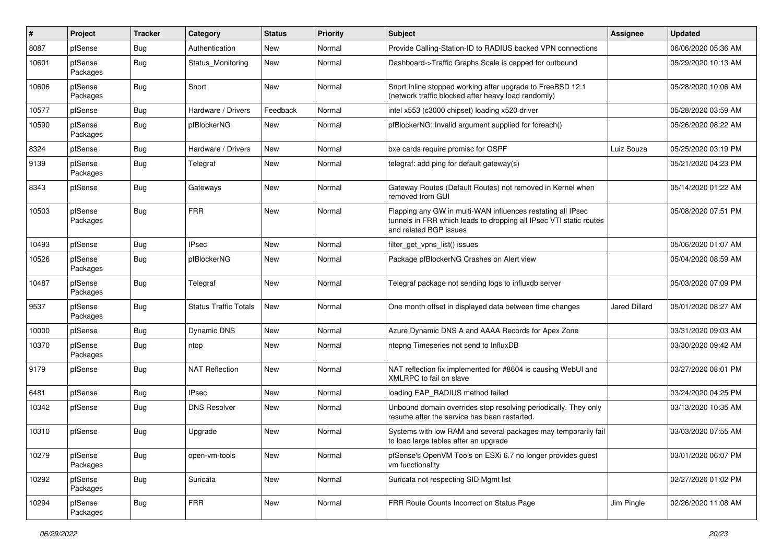| ∦     | Project             | <b>Tracker</b> | Category                     | <b>Status</b> | <b>Priority</b> | <b>Subject</b>                                                                                                                                              | Assignee      | <b>Updated</b>      |
|-------|---------------------|----------------|------------------------------|---------------|-----------------|-------------------------------------------------------------------------------------------------------------------------------------------------------------|---------------|---------------------|
| 8087  | pfSense             | <b>Bug</b>     | Authentication               | New           | Normal          | Provide Calling-Station-ID to RADIUS backed VPN connections                                                                                                 |               | 06/06/2020 05:36 AM |
| 10601 | pfSense<br>Packages | Bug            | Status Monitoring            | New           | Normal          | Dashboard->Traffic Graphs Scale is capped for outbound                                                                                                      |               | 05/29/2020 10:13 AM |
| 10606 | pfSense<br>Packages | Bug            | Snort                        | <b>New</b>    | Normal          | Snort Inline stopped working after upgrade to FreeBSD 12.1<br>(network traffic blocked after heavy load randomly)                                           |               | 05/28/2020 10:06 AM |
| 10577 | pfSense             | Bug            | Hardware / Drivers           | Feedback      | Normal          | intel x553 (c3000 chipset) loading x520 driver                                                                                                              |               | 05/28/2020 03:59 AM |
| 10590 | pfSense<br>Packages | <b>Bug</b>     | pfBlockerNG                  | New           | Normal          | pfBlockerNG: Invalid argument supplied for foreach()                                                                                                        |               | 05/26/2020 08:22 AM |
| 8324  | pfSense             | <b>Bug</b>     | Hardware / Drivers           | <b>New</b>    | Normal          | bxe cards require promisc for OSPF                                                                                                                          | Luiz Souza    | 05/25/2020 03:19 PM |
| 9139  | pfSense<br>Packages | <b>Bug</b>     | Telegraf                     | New           | Normal          | telegraf: add ping for default gateway(s)                                                                                                                   |               | 05/21/2020 04:23 PM |
| 8343  | pfSense             | <b>Bug</b>     | Gateways                     | <b>New</b>    | Normal          | Gateway Routes (Default Routes) not removed in Kernel when<br>removed from GUI                                                                              |               | 05/14/2020 01:22 AM |
| 10503 | pfSense<br>Packages | <b>Bug</b>     | <b>FRR</b>                   | <b>New</b>    | Normal          | Flapping any GW in multi-WAN influences restating all IPsec<br>tunnels in FRR which leads to dropping all IPsec VTI static routes<br>and related BGP issues |               | 05/08/2020 07:51 PM |
| 10493 | pfSense             | Bug            | <b>IPsec</b>                 | New           | Normal          | filter get vpns list() issues                                                                                                                               |               | 05/06/2020 01:07 AM |
| 10526 | pfSense<br>Packages | <b>Bug</b>     | pfBlockerNG                  | <b>New</b>    | Normal          | Package pfBlockerNG Crashes on Alert view                                                                                                                   |               | 05/04/2020 08:59 AM |
| 10487 | pfSense<br>Packages | <b>Bug</b>     | Telegraf                     | <b>New</b>    | Normal          | Telegraf package not sending logs to influxdb server                                                                                                        |               | 05/03/2020 07:09 PM |
| 9537  | pfSense<br>Packages | <b>Bug</b>     | <b>Status Traffic Totals</b> | <b>New</b>    | Normal          | One month offset in displayed data between time changes                                                                                                     | Jared Dillard | 05/01/2020 08:27 AM |
| 10000 | pfSense             | <b>Bug</b>     | Dynamic DNS                  | <b>New</b>    | Normal          | Azure Dynamic DNS A and AAAA Records for Apex Zone                                                                                                          |               | 03/31/2020 09:03 AM |
| 10370 | pfSense<br>Packages | Bug            | ntop                         | New           | Normal          | ntopng Timeseries not send to InfluxDB                                                                                                                      |               | 03/30/2020 09:42 AM |
| 9179  | pfSense             | <b>Bug</b>     | <b>NAT Reflection</b>        | <b>New</b>    | Normal          | NAT reflection fix implemented for #8604 is causing WebUI and<br>XMLRPC to fail on slave                                                                    |               | 03/27/2020 08:01 PM |
| 6481  | pfSense             | <b>Bug</b>     | <b>IPsec</b>                 | <b>New</b>    | Normal          | loading EAP_RADIUS method failed                                                                                                                            |               | 03/24/2020 04:25 PM |
| 10342 | pfSense             | Bug            | <b>DNS Resolver</b>          | New           | Normal          | Unbound domain overrides stop resolving periodically. They only<br>resume after the service has been restarted.                                             |               | 03/13/2020 10:35 AM |
| 10310 | pfSense             | <b>Bug</b>     | Upgrade                      | New           | Normal          | Systems with low RAM and several packages may temporarily fail<br>to load large tables after an upgrade                                                     |               | 03/03/2020 07:55 AM |
| 10279 | pfSense<br>Packages | Bug            | open-vm-tools                | New           | Normal          | pfSense's OpenVM Tools on ESXi 6.7 no longer provides guest<br>vm functionality                                                                             |               | 03/01/2020 06:07 PM |
| 10292 | pfSense<br>Packages | <b>Bug</b>     | Suricata                     | New           | Normal          | Suricata not respecting SID Mgmt list                                                                                                                       |               | 02/27/2020 01:02 PM |
| 10294 | pfSense<br>Packages | Bug            | <b>FRR</b>                   | New           | Normal          | FRR Route Counts Incorrect on Status Page                                                                                                                   | Jim Pingle    | 02/26/2020 11:08 AM |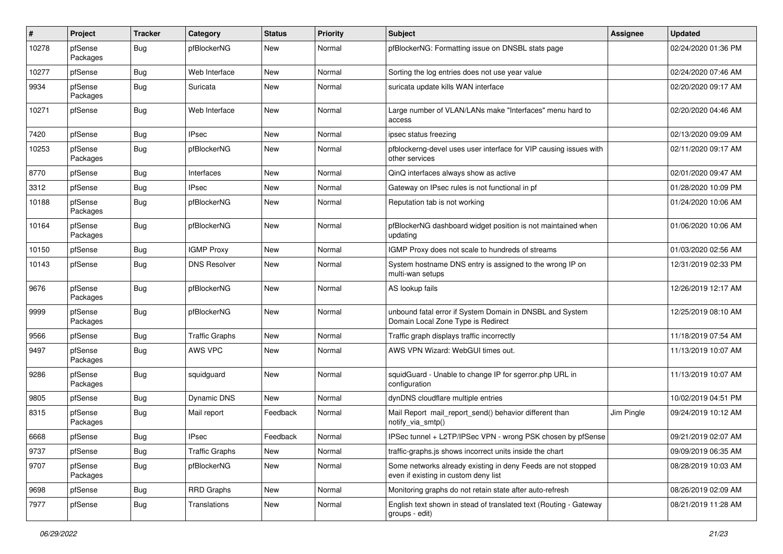| #     | Project             | <b>Tracker</b> | Category              | <b>Status</b> | Priority | Subject                                                                                              | Assignee   | <b>Updated</b>      |
|-------|---------------------|----------------|-----------------------|---------------|----------|------------------------------------------------------------------------------------------------------|------------|---------------------|
| 10278 | pfSense<br>Packages | Bug            | pfBlockerNG           | New           | Normal   | pfBlockerNG: Formatting issue on DNSBL stats page                                                    |            | 02/24/2020 01:36 PM |
| 10277 | pfSense             | Bug            | Web Interface         | New           | Normal   | Sorting the log entries does not use year value                                                      |            | 02/24/2020 07:46 AM |
| 9934  | pfSense<br>Packages | Bug            | Suricata              | New           | Normal   | suricata update kills WAN interface                                                                  |            | 02/20/2020 09:17 AM |
| 10271 | pfSense             | Bug            | Web Interface         | <b>New</b>    | Normal   | Large number of VLAN/LANs make "Interfaces" menu hard to<br>access                                   |            | 02/20/2020 04:46 AM |
| 7420  | pfSense             | <b>Bug</b>     | <b>IPsec</b>          | <b>New</b>    | Normal   | ipsec status freezing                                                                                |            | 02/13/2020 09:09 AM |
| 10253 | pfSense<br>Packages | Bug            | pfBlockerNG           | New           | Normal   | pfblockerng-devel uses user interface for VIP causing issues with<br>other services                  |            | 02/11/2020 09:17 AM |
| 8770  | pfSense             | Bug            | Interfaces            | New           | Normal   | QinQ interfaces always show as active                                                                |            | 02/01/2020 09:47 AM |
| 3312  | pfSense             | <b>Bug</b>     | <b>IPsec</b>          | New           | Normal   | Gateway on IPsec rules is not functional in pf                                                       |            | 01/28/2020 10:09 PM |
| 10188 | pfSense<br>Packages | <b>Bug</b>     | pfBlockerNG           | <b>New</b>    | Normal   | Reputation tab is not working                                                                        |            | 01/24/2020 10:06 AM |
| 10164 | pfSense<br>Packages | Bug            | pfBlockerNG           | New           | Normal   | pfBlockerNG dashboard widget position is not maintained when<br>updating                             |            | 01/06/2020 10:06 AM |
| 10150 | pfSense             | <b>Bug</b>     | <b>IGMP Proxy</b>     | <b>New</b>    | Normal   | IGMP Proxy does not scale to hundreds of streams                                                     |            | 01/03/2020 02:56 AM |
| 10143 | pfSense             | <b>Bug</b>     | <b>DNS Resolver</b>   | New           | Normal   | System hostname DNS entry is assigned to the wrong IP on<br>multi-wan setups                         |            | 12/31/2019 02:33 PM |
| 9676  | pfSense<br>Packages | Bug            | pfBlockerNG           | <b>New</b>    | Normal   | AS lookup fails                                                                                      |            | 12/26/2019 12:17 AM |
| 9999  | pfSense<br>Packages | Bug            | pfBlockerNG           | <b>New</b>    | Normal   | unbound fatal error if System Domain in DNSBL and System<br>Domain Local Zone Type is Redirect       |            | 12/25/2019 08:10 AM |
| 9566  | pfSense             | <b>Bug</b>     | <b>Traffic Graphs</b> | <b>New</b>    | Normal   | Traffic graph displays traffic incorrectly                                                           |            | 11/18/2019 07:54 AM |
| 9497  | pfSense<br>Packages | Bug            | AWS VPC               | New           | Normal   | AWS VPN Wizard: WebGUI times out.                                                                    |            | 11/13/2019 10:07 AM |
| 9286  | pfSense<br>Packages | <b>Bug</b>     | squidguard            | <b>New</b>    | Normal   | squidGuard - Unable to change IP for sgerror.php URL in<br>configuration                             |            | 11/13/2019 10:07 AM |
| 9805  | pfSense             | <b>Bug</b>     | <b>Dynamic DNS</b>    | <b>New</b>    | Normal   | dynDNS cloudflare multiple entries                                                                   |            | 10/02/2019 04:51 PM |
| 8315  | pfSense<br>Packages | Bug            | Mail report           | Feedback      | Normal   | Mail Report mail_report_send() behavior different than<br>notify_via_smtp()                          | Jim Pingle | 09/24/2019 10:12 AM |
| 6668  | pfSense             | <b>Bug</b>     | <b>IPsec</b>          | Feedback      | Normal   | IPSec tunnel + L2TP/IPSec VPN - wrong PSK chosen by pfSense                                          |            | 09/21/2019 02:07 AM |
| 9737  | pfSense             | Bug            | <b>Traffic Graphs</b> | New           | Normal   | traffic-graphs.js shows incorrect units inside the chart                                             |            | 09/09/2019 06:35 AM |
| 9707  | pfSense<br>Packages | <b>Bug</b>     | pfBlockerNG           | New           | Normal   | Some networks already existing in deny Feeds are not stopped<br>even if existing in custom deny list |            | 08/28/2019 10:03 AM |
| 9698  | pfSense             | Bug            | RRD Graphs            | New           | Normal   | Monitoring graphs do not retain state after auto-refresh                                             |            | 08/26/2019 02:09 AM |
| 7977  | pfSense             | <b>Bug</b>     | Translations          | New           | Normal   | English text shown in stead of translated text (Routing - Gateway<br>groups - edit)                  |            | 08/21/2019 11:28 AM |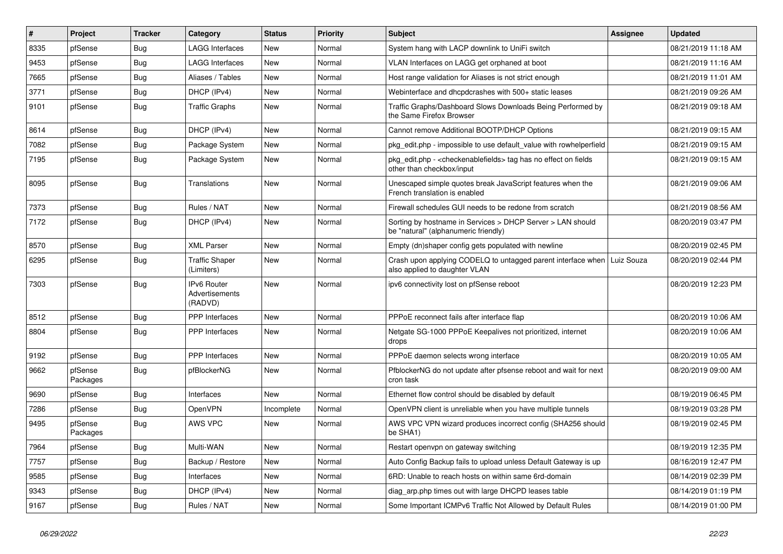| #    | Project             | <b>Tracker</b> | Category                                        | <b>Status</b> | <b>Priority</b> | <b>Subject</b>                                                                                           | <b>Assignee</b> | <b>Updated</b>      |
|------|---------------------|----------------|-------------------------------------------------|---------------|-----------------|----------------------------------------------------------------------------------------------------------|-----------------|---------------------|
| 8335 | pfSense             | Bug            | LAGG Interfaces                                 | <b>New</b>    | Normal          | System hang with LACP downlink to UniFi switch                                                           |                 | 08/21/2019 11:18 AM |
| 9453 | pfSense             | <b>Bug</b>     | <b>LAGG Interfaces</b>                          | <b>New</b>    | Normal          | VLAN Interfaces on LAGG get orphaned at boot                                                             |                 | 08/21/2019 11:16 AM |
| 7665 | pfSense             | Bug            | Aliases / Tables                                | <b>New</b>    | Normal          | Host range validation for Aliases is not strict enough                                                   |                 | 08/21/2019 11:01 AM |
| 3771 | pfSense             | <b>Bug</b>     | DHCP (IPv4)                                     | <b>New</b>    | Normal          | Webinterface and dhcpdcrashes with 500+ static leases                                                    |                 | 08/21/2019 09:26 AM |
| 9101 | pfSense             | <b>Bug</b>     | <b>Traffic Graphs</b>                           | <b>New</b>    | Normal          | Traffic Graphs/Dashboard Slows Downloads Being Performed by<br>the Same Firefox Browser                  |                 | 08/21/2019 09:18 AM |
| 8614 | pfSense             | <b>Bug</b>     | DHCP (IPv4)                                     | <b>New</b>    | Normal          | Cannot remove Additional BOOTP/DHCP Options                                                              |                 | 08/21/2019 09:15 AM |
| 7082 | pfSense             | <b>Bug</b>     | Package System                                  | <b>New</b>    | Normal          | pkg edit.php - impossible to use default value with rowhelperfield                                       |                 | 08/21/2019 09:15 AM |
| 7195 | pfSense             | Bug            | Package System                                  | <b>New</b>    | Normal          | pkg_edit.php - < checkenablefields > tag has no effect on fields<br>other than checkbox/input            |                 | 08/21/2019 09:15 AM |
| 8095 | pfSense             | Bug            | Translations                                    | <b>New</b>    | Normal          | Unescaped simple quotes break JavaScript features when the<br>French translation is enabled              |                 | 08/21/2019 09:06 AM |
| 7373 | pfSense             | <b>Bug</b>     | Rules / NAT                                     | <b>New</b>    | Normal          | Firewall schedules GUI needs to be redone from scratch                                                   |                 | 08/21/2019 08:56 AM |
| 7172 | pfSense             | Bug            | DHCP (IPv4)                                     | <b>New</b>    | Normal          | Sorting by hostname in Services > DHCP Server > LAN should<br>be "natural" (alphanumeric friendly)       |                 | 08/20/2019 03:47 PM |
| 8570 | pfSense             | <b>Bug</b>     | <b>XML Parser</b>                               | <b>New</b>    | Normal          | Empty (dn)shaper config gets populated with newline                                                      |                 | 08/20/2019 02:45 PM |
| 6295 | pfSense             | <b>Bug</b>     | <b>Traffic Shaper</b><br>(Limiters)             | <b>New</b>    | Normal          | Crash upon applying CODELQ to untagged parent interface when Luiz Souza<br>also applied to daughter VLAN |                 | 08/20/2019 02:44 PM |
| 7303 | pfSense             | Bug            | <b>IPv6 Router</b><br>Advertisements<br>(RADVD) | <b>New</b>    | Normal          | ipv6 connectivity lost on pfSense reboot                                                                 |                 | 08/20/2019 12:23 PM |
| 8512 | pfSense             | Bug            | PPP Interfaces                                  | <b>New</b>    | Normal          | PPPoE reconnect fails after interface flap                                                               |                 | 08/20/2019 10:06 AM |
| 8804 | pfSense             | Bug            | PPP Interfaces                                  | <b>New</b>    | Normal          | Netgate SG-1000 PPPoE Keepalives not prioritized, internet<br>drops                                      |                 | 08/20/2019 10:06 AM |
| 9192 | pfSense             | Bug            | PPP Interfaces                                  | <b>New</b>    | Normal          | PPPoE daemon selects wrong interface                                                                     |                 | 08/20/2019 10:05 AM |
| 9662 | pfSense<br>Packages | <b>Bug</b>     | pfBlockerNG                                     | <b>New</b>    | Normal          | PfblockerNG do not update after pfsense reboot and wait for next<br>cron task                            |                 | 08/20/2019 09:00 AM |
| 9690 | pfSense             | <b>Bug</b>     | Interfaces                                      | <b>New</b>    | Normal          | Ethernet flow control should be disabled by default                                                      |                 | 08/19/2019 06:45 PM |
| 7286 | pfSense             | <b>Bug</b>     | OpenVPN                                         | Incomplete    | Normal          | OpenVPN client is unreliable when you have multiple tunnels                                              |                 | 08/19/2019 03:28 PM |
| 9495 | pfSense<br>Packages | <b>Bug</b>     | AWS VPC                                         | New           | Normal          | AWS VPC VPN wizard produces incorrect config (SHA256 should<br>be SHA1)                                  |                 | 08/19/2019 02:45 PM |
| 7964 | pfSense             | <b>Bug</b>     | Multi-WAN                                       | New           | Normal          | Restart openvpn on gateway switching                                                                     |                 | 08/19/2019 12:35 PM |
| 7757 | pfSense             | <b>Bug</b>     | Backup / Restore                                | New           | Normal          | Auto Config Backup fails to upload unless Default Gateway is up                                          |                 | 08/16/2019 12:47 PM |
| 9585 | pfSense             | <b>Bug</b>     | Interfaces                                      | New           | Normal          | 6RD: Unable to reach hosts on within same 6rd-domain                                                     |                 | 08/14/2019 02:39 PM |
| 9343 | pfSense             | Bug            | DHCP (IPv4)                                     | New           | Normal          | diag_arp.php times out with large DHCPD leases table                                                     |                 | 08/14/2019 01:19 PM |
| 9167 | pfSense             | Bug            | Rules / NAT                                     | New           | Normal          | Some Important ICMPv6 Traffic Not Allowed by Default Rules                                               |                 | 08/14/2019 01:00 PM |